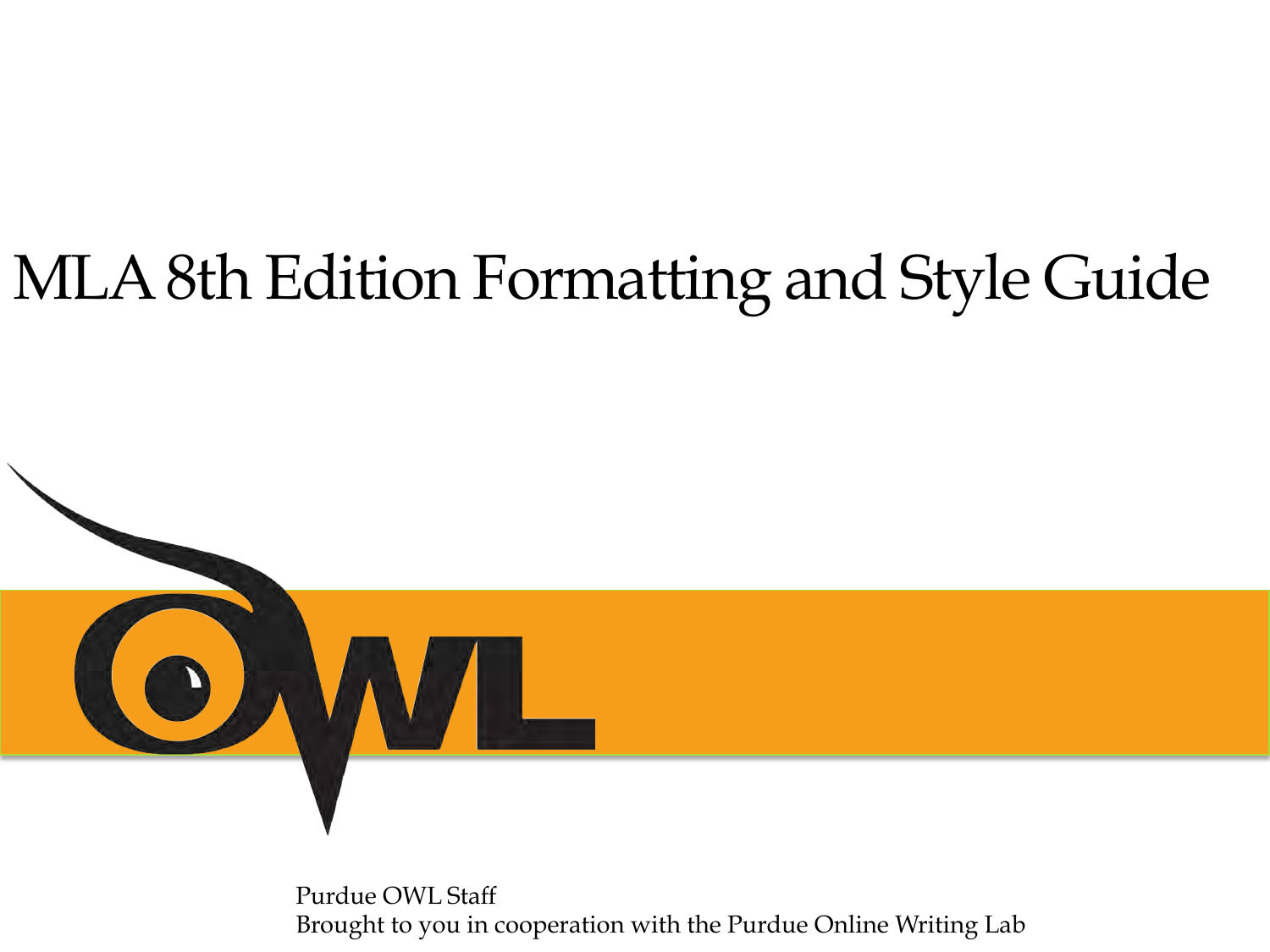# MLA 8th Edition Formatting and Style Guide



Purdue OWL Staff Brought to you in cooperation with the Purdue Online Writing Lab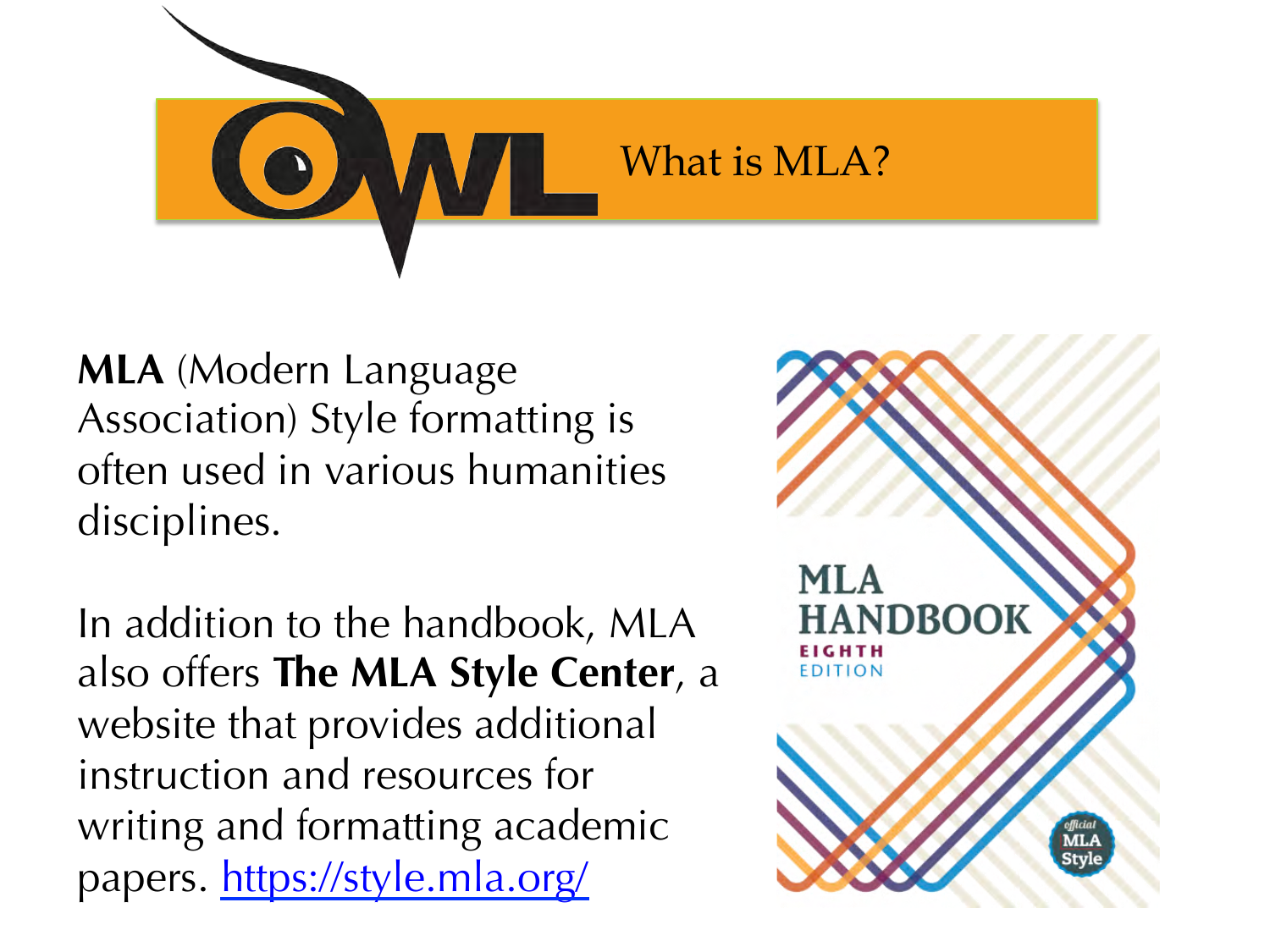

**MLA** (Modern Language Association) Style formatting is often used in various humanities disciplines.

In addition to the handbook, MLA also offers **The MLA Style Center**, a website that provides additional instruction and resources for writing and formatting academic papers. https://style.mla.org/

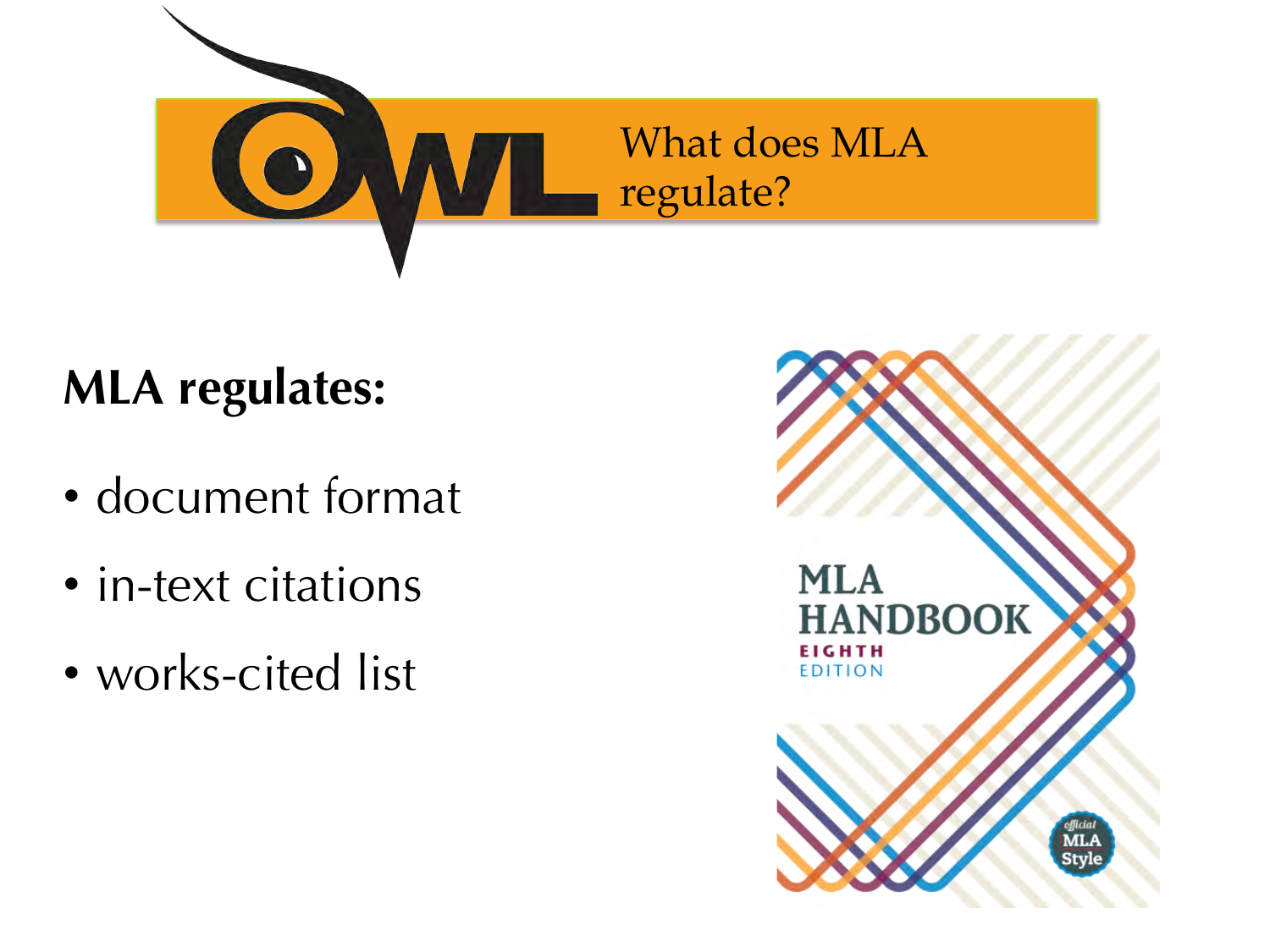

## **MLA regulates:**

- document format
- in-text citations
- works-cited list

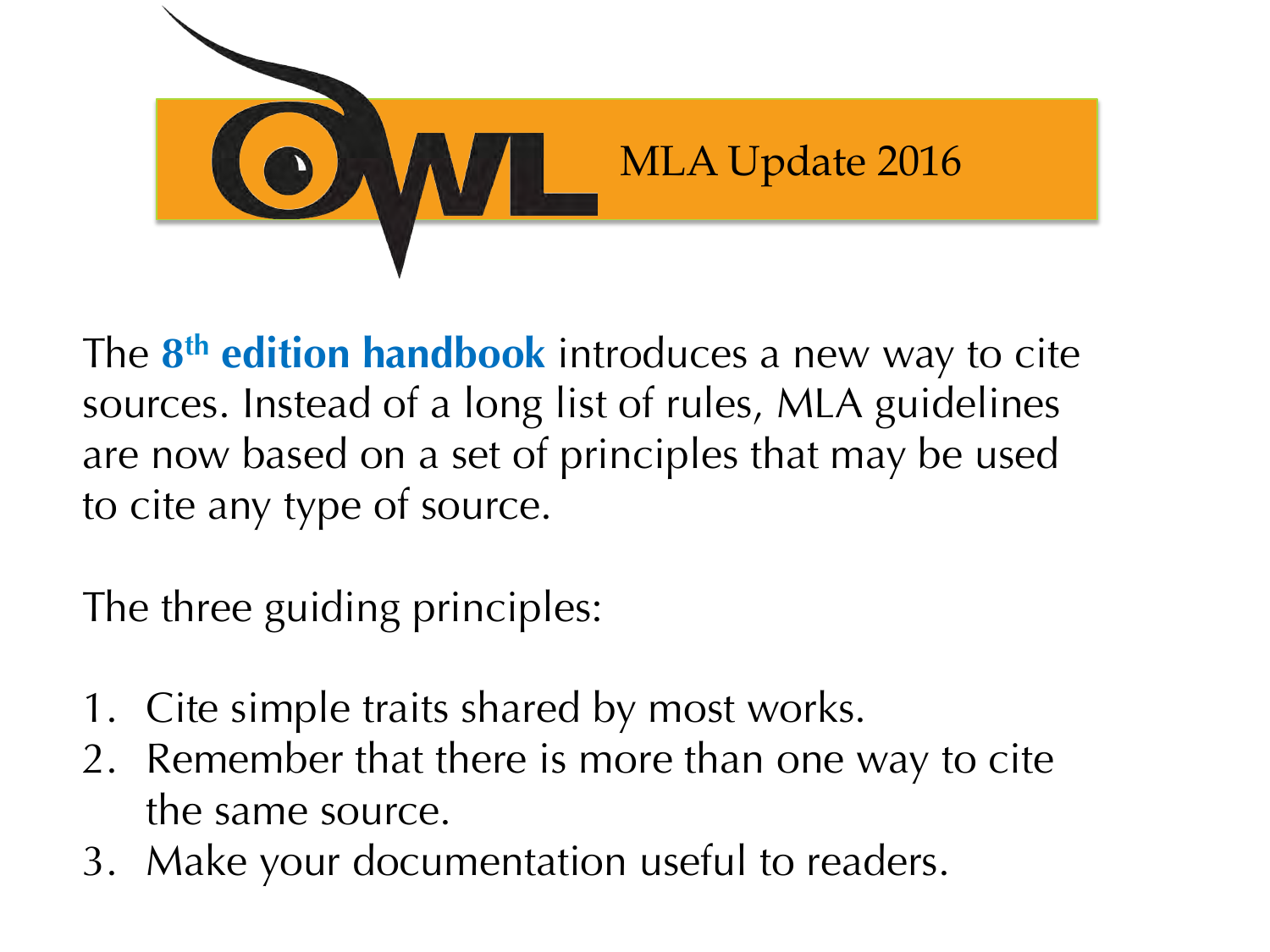

The **8th edition handbook** introduces a new way to cite sources. Instead of a long list of rules, MLA guidelines are now based on a set of principles that may be used to cite any type of source.

The three guiding principles:

- 1. Cite simple traits shared by most works.
- 2. Remember that there is more than one way to cite the same source.
- 3. Make your documentation useful to readers.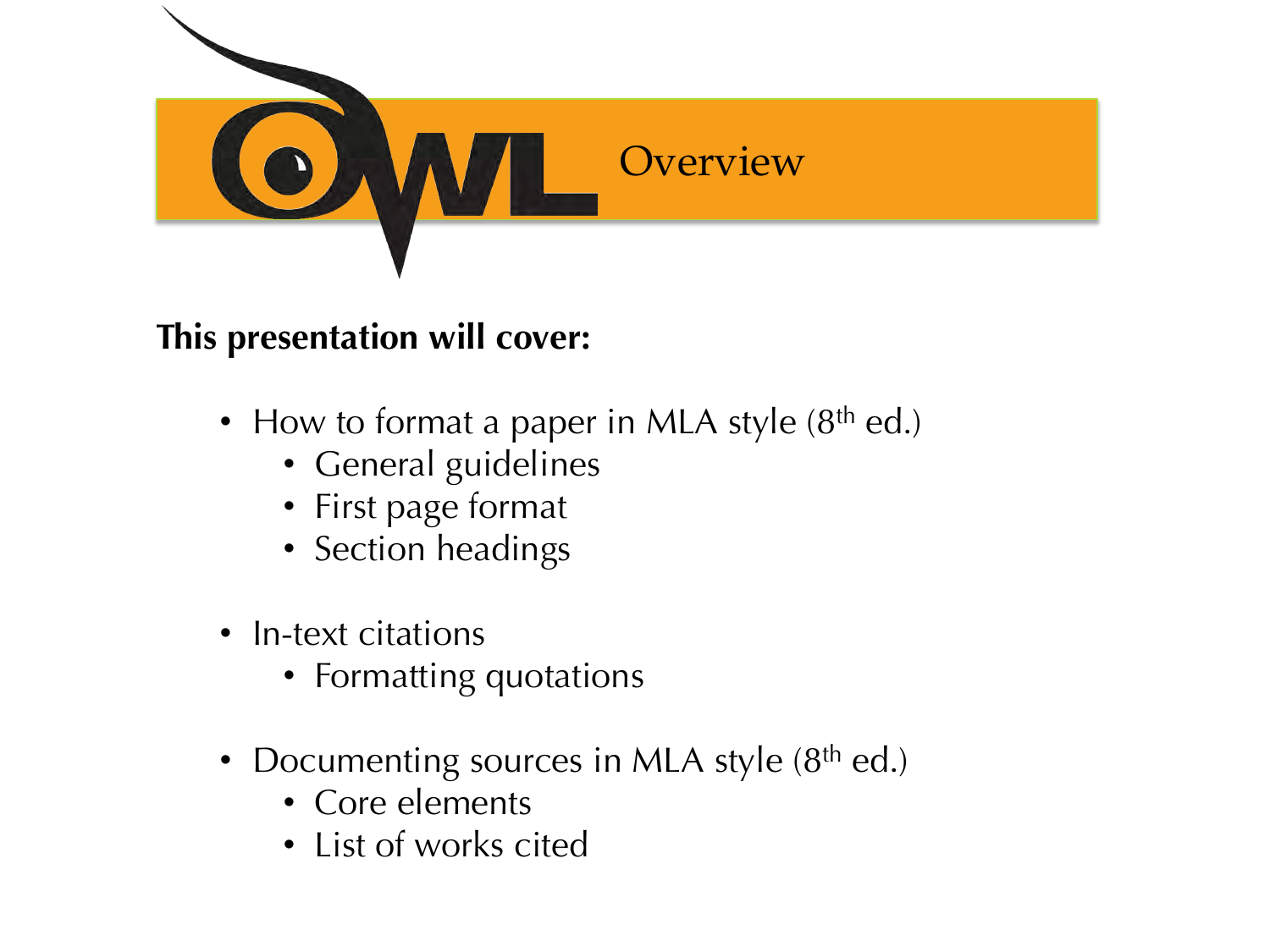

#### **This presentation will cover:**

- How to format a paper in MLA style  $(8<sup>th</sup>$  ed.)
	- General guidelines
	- First page format
	- Section headings
- In-text citations
	- Formatting quotations
- Documenting sources in MLA style  $(8<sup>th</sup>$  ed.)
	- Core elements
	- List of works cited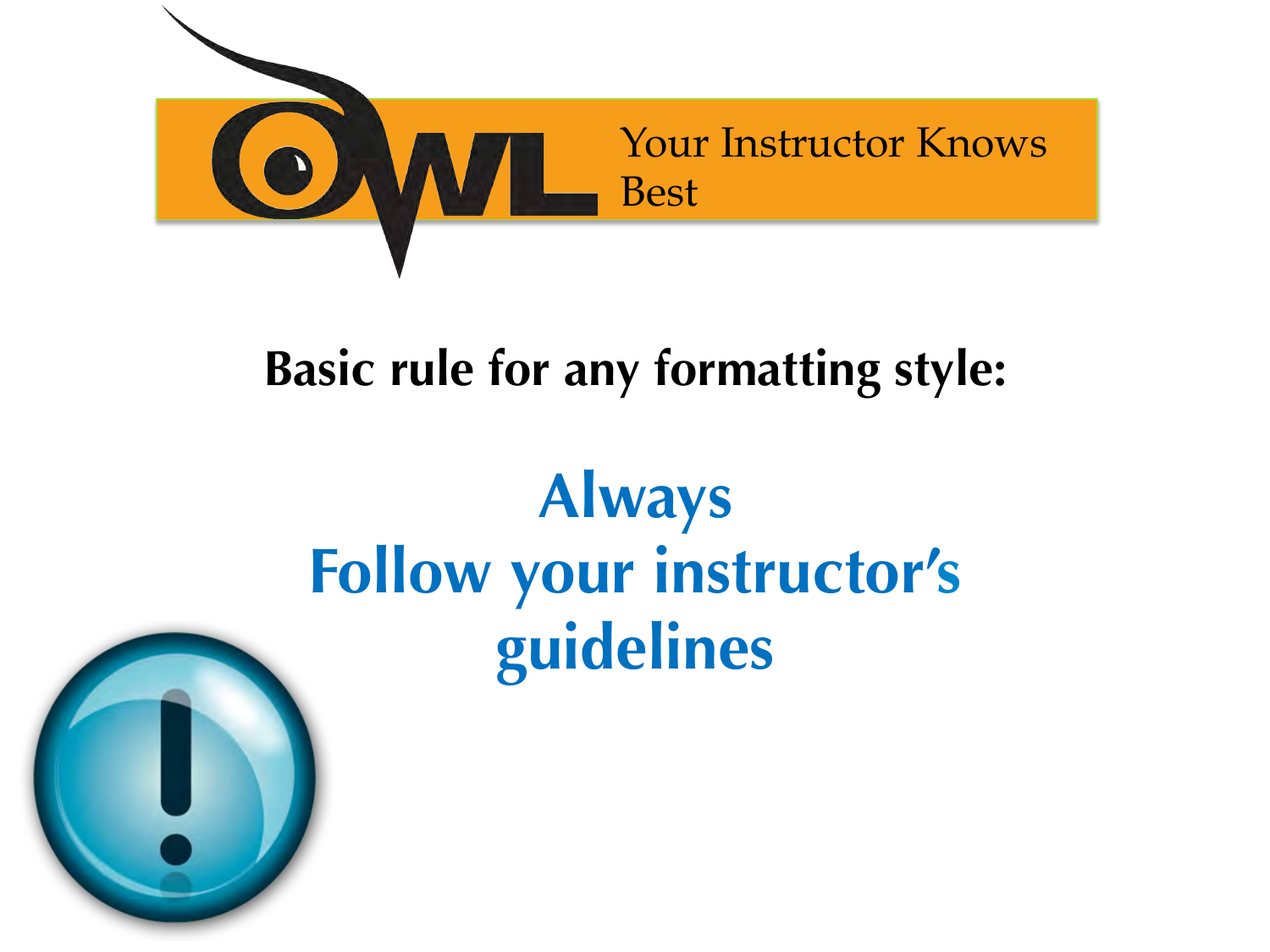

## **Basic rule for any formatting style:**

# **Always Follow your instructor's guidelines**

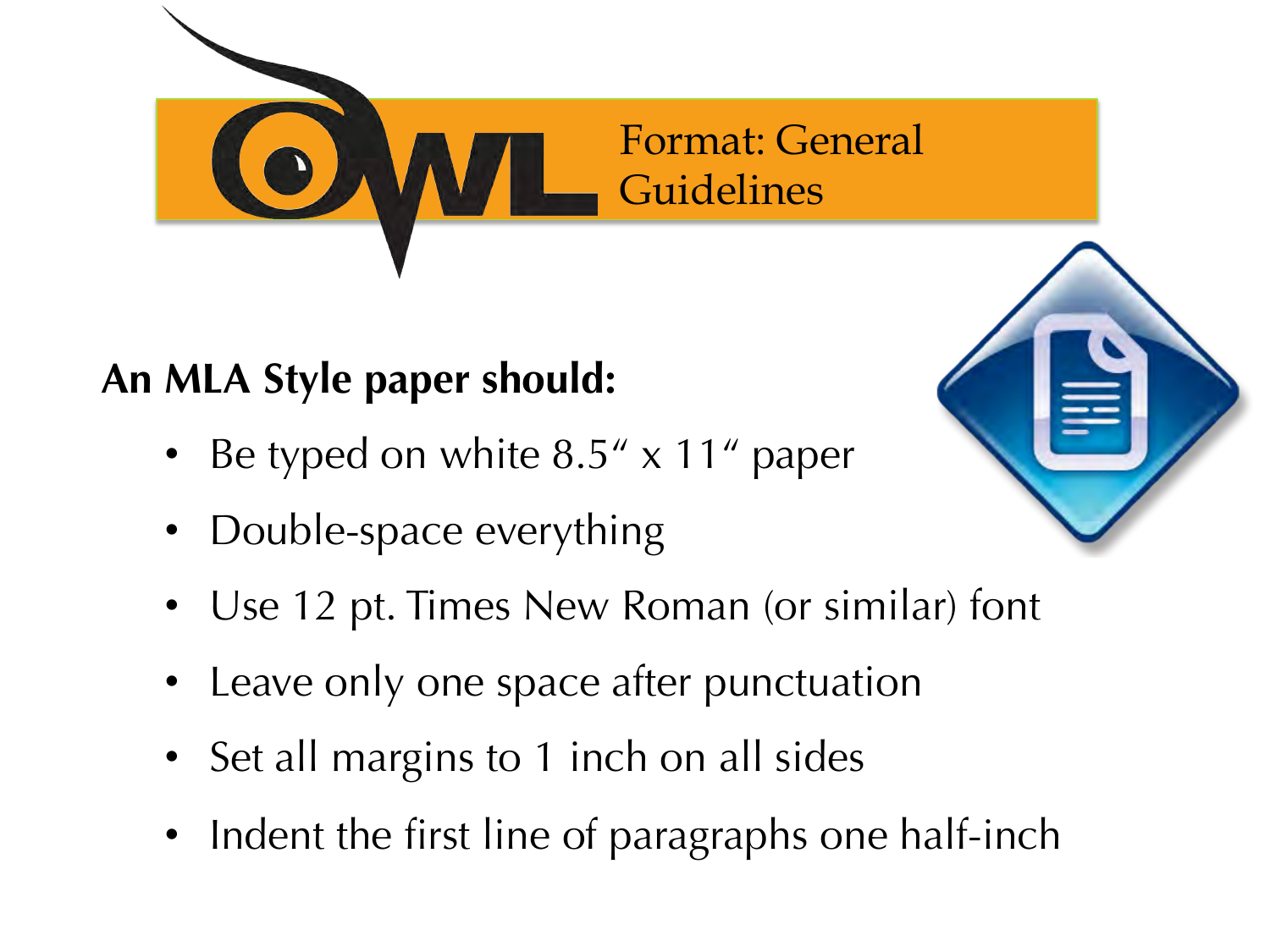

### **An MLA Style paper should:**

- Be typed on white  $8.5'' \times 11''$  paper
- Double-space everything
- Use 12 pt. Times New Roman (or similar) font
- Leave only one space after punctuation
- Set all margins to 1 inch on all sides
- Indent the first line of paragraphs one half-inch

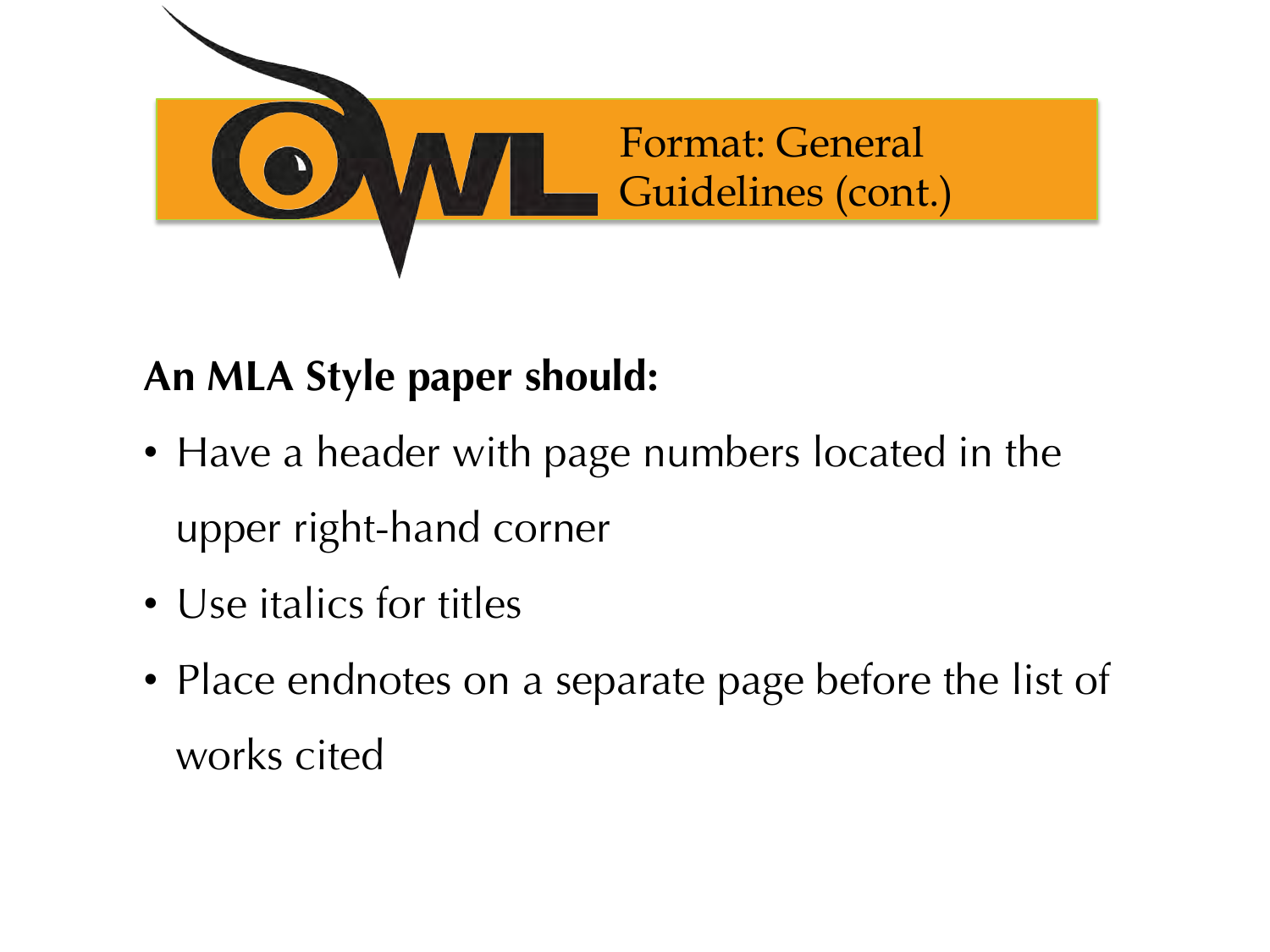

### **An MLA Style paper should:**

- Have a header with page numbers located in the upper right-hand corner
- Use italics for titles
- Place endnotes on a separate page before the list of works cited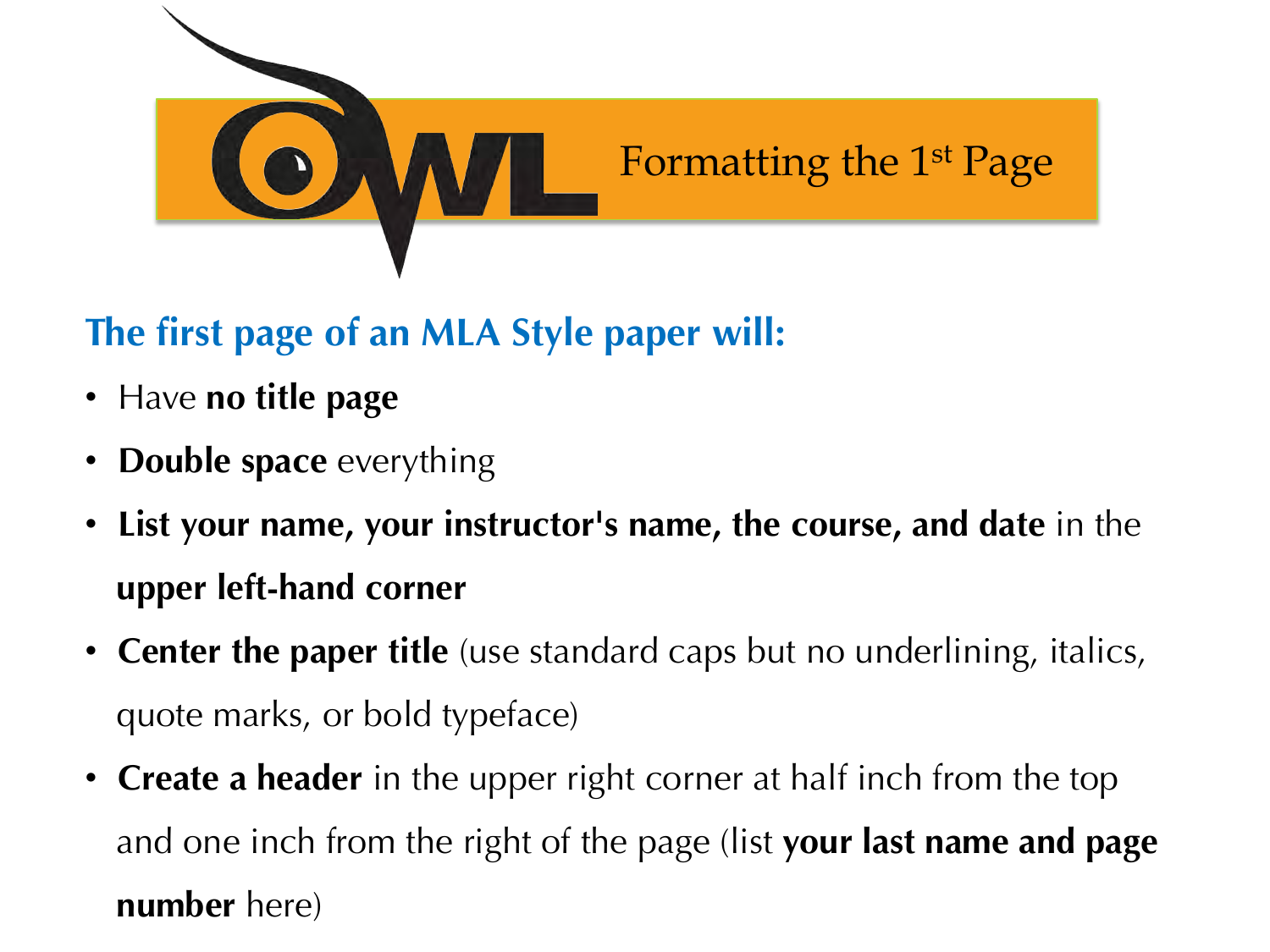

#### **The first page of an MLA Style paper will:**

- Have **no title page**
- **Double space** everything
- **List your name, your instructor's name, the course, and date** in the **upper left-hand corner**
- **Center the paper title** (use standard caps but no underlining, italics, quote marks, or bold typeface)
- **Create a header** in the upper right corner at half inch from the top and one inch from the right of the page (list **your last name and page number** here)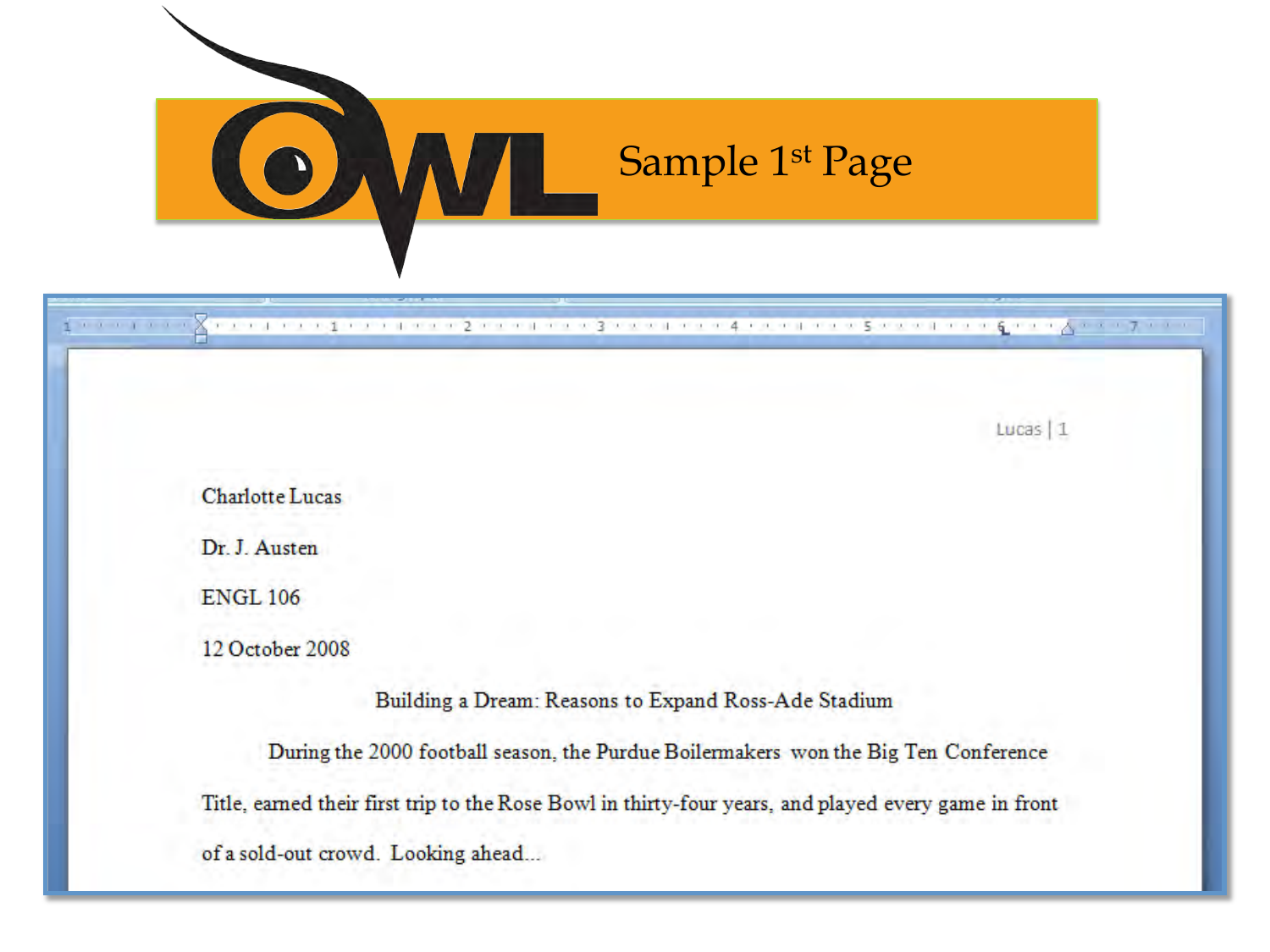

| 1 1 1 1 1 1 1 1                                                                                      |
|------------------------------------------------------------------------------------------------------|
|                                                                                                      |
| Lucas   1                                                                                            |
|                                                                                                      |
| <b>Charlotte Lucas</b>                                                                               |
| Dr. J. Austen                                                                                        |
| <b>ENGL 106</b>                                                                                      |
| 12 October 2008                                                                                      |
| Building a Dream: Reasons to Expand Ross-Ade Stadium                                                 |
| During the 2000 football season, the Purdue Boilermakers won the Big Ten Conference                  |
| Title, earned their first trip to the Rose Bowl in thirty-four years, and played every game in front |
| of a sold-out crowd. Looking ahead                                                                   |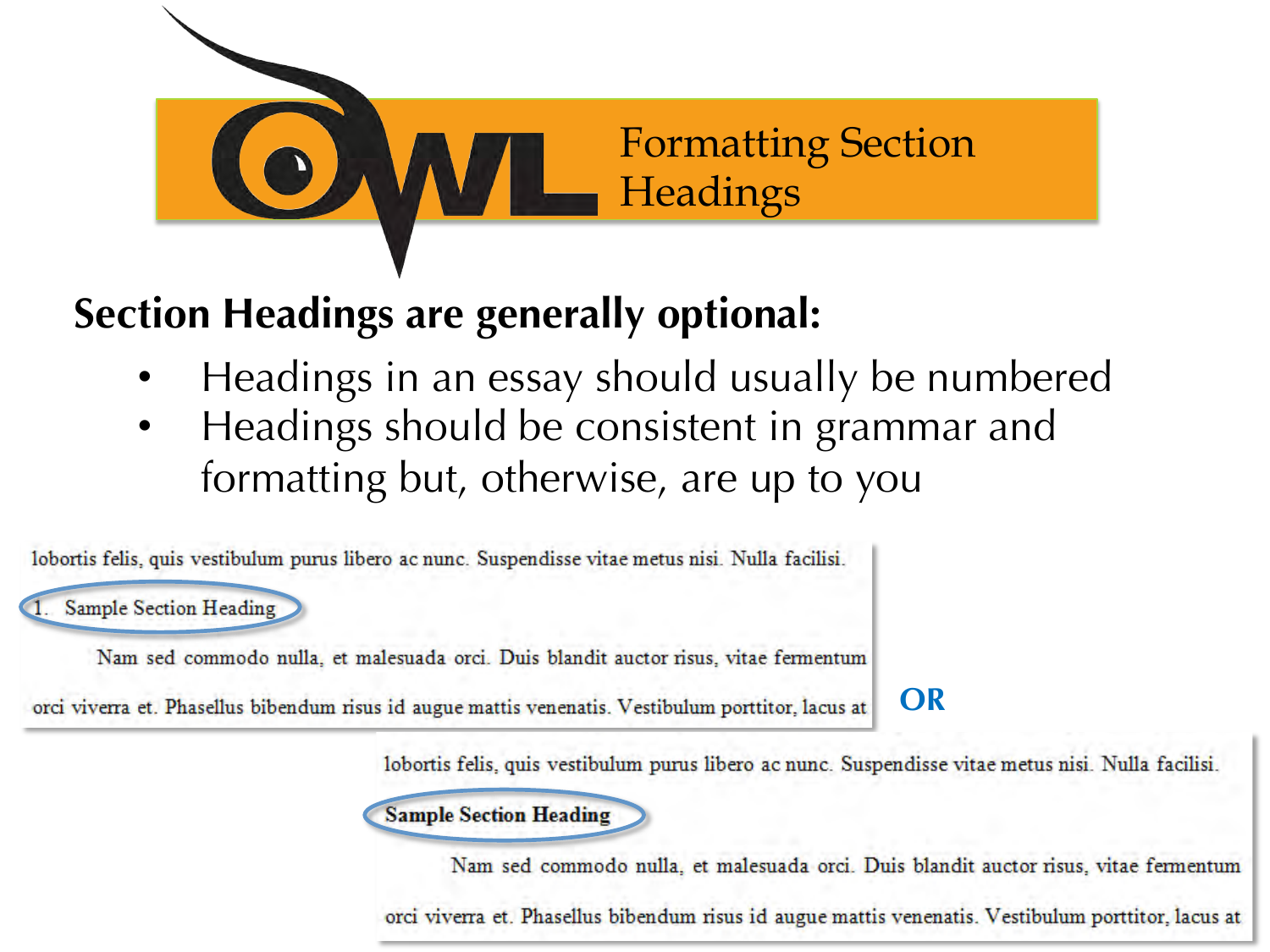

### **Section Headings are generally optional:**

- Headings in an essay should usually be numbered
- Headings should be consistent in grammar and formatting but, otherwise, are up to you

lobortis felis, quis vestibulum purus libero ac nunc. Suspendisse vitae metus nisi. Nulla facilisi.

**Sample Section Heading** 

Nam sed commodo nulla, et malesuada orci. Duis blandit auctor risus, vitae fermentum

orci viverra et. Phasellus bibendum risus id augue mattis venenatis. Vestibulum porttitor, lacus at

#### **OR**

lobortis felis, quis vestibulum purus libero ac nunc. Suspendisse vitae metus nisi. Nulla facilisi.



Nam sed commodo nulla, et malesuada orci. Duis blandit auctor risus, vitae fermentum

orci viverra et. Phasellus bibendum risus id augue mattis venenatis. Vestibulum porttitor, lacus at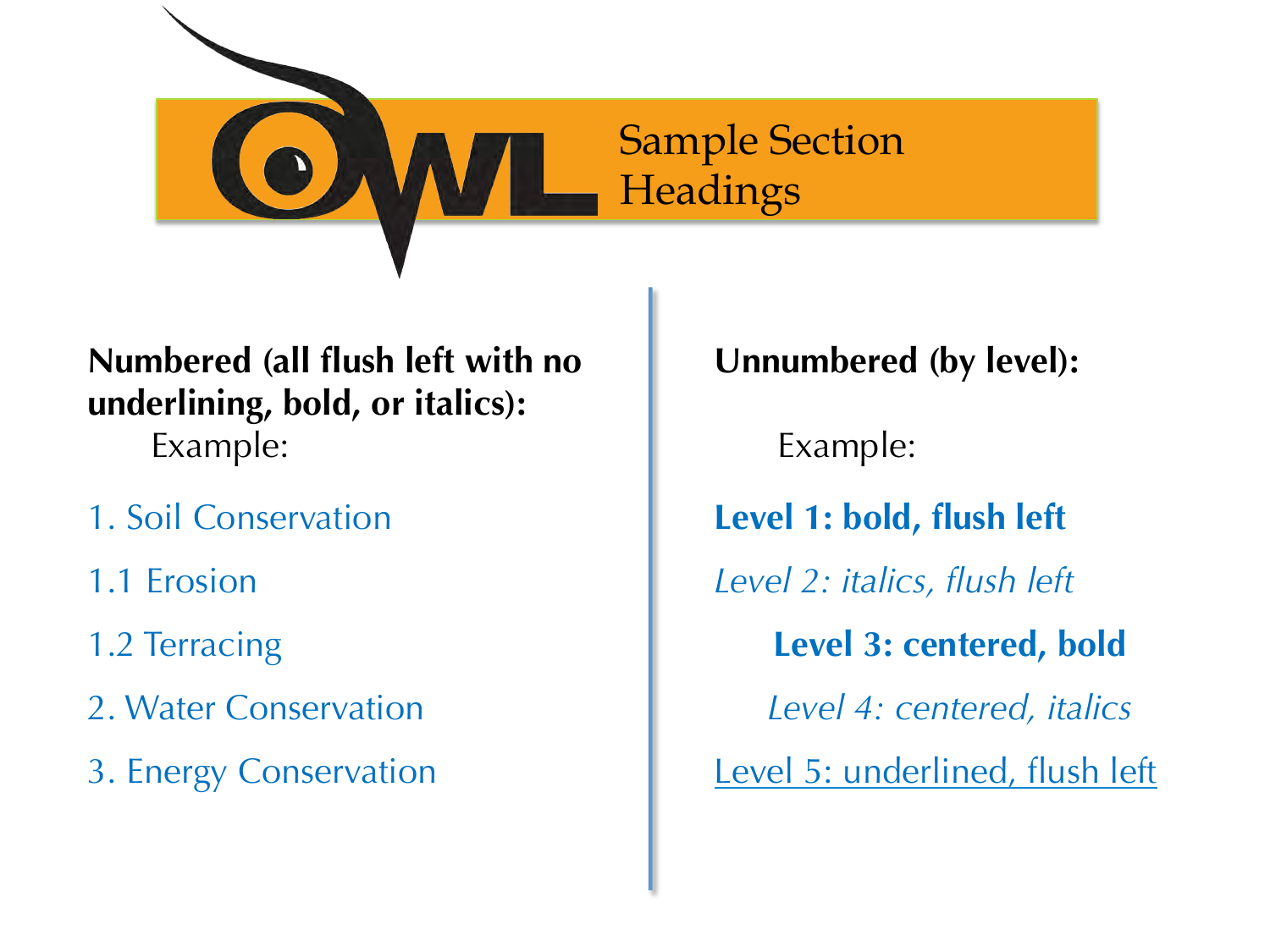

#### **Numbered (all flush left with no underlining, bold, or italics):**  Example:

- 1. Soil Conservation
- 1.1 Erosion
- 1.2 Terracing
- 2. Water Conservation
- 3. Energy Conservation

**Unnumbered (by level):** 

Example:

**Level 1: bold, flush left** 

*Level 2: italics, flush left*

**Level 3: centered, bold**

*Level 4: centered, italics* 

Level 5: underlined, flush left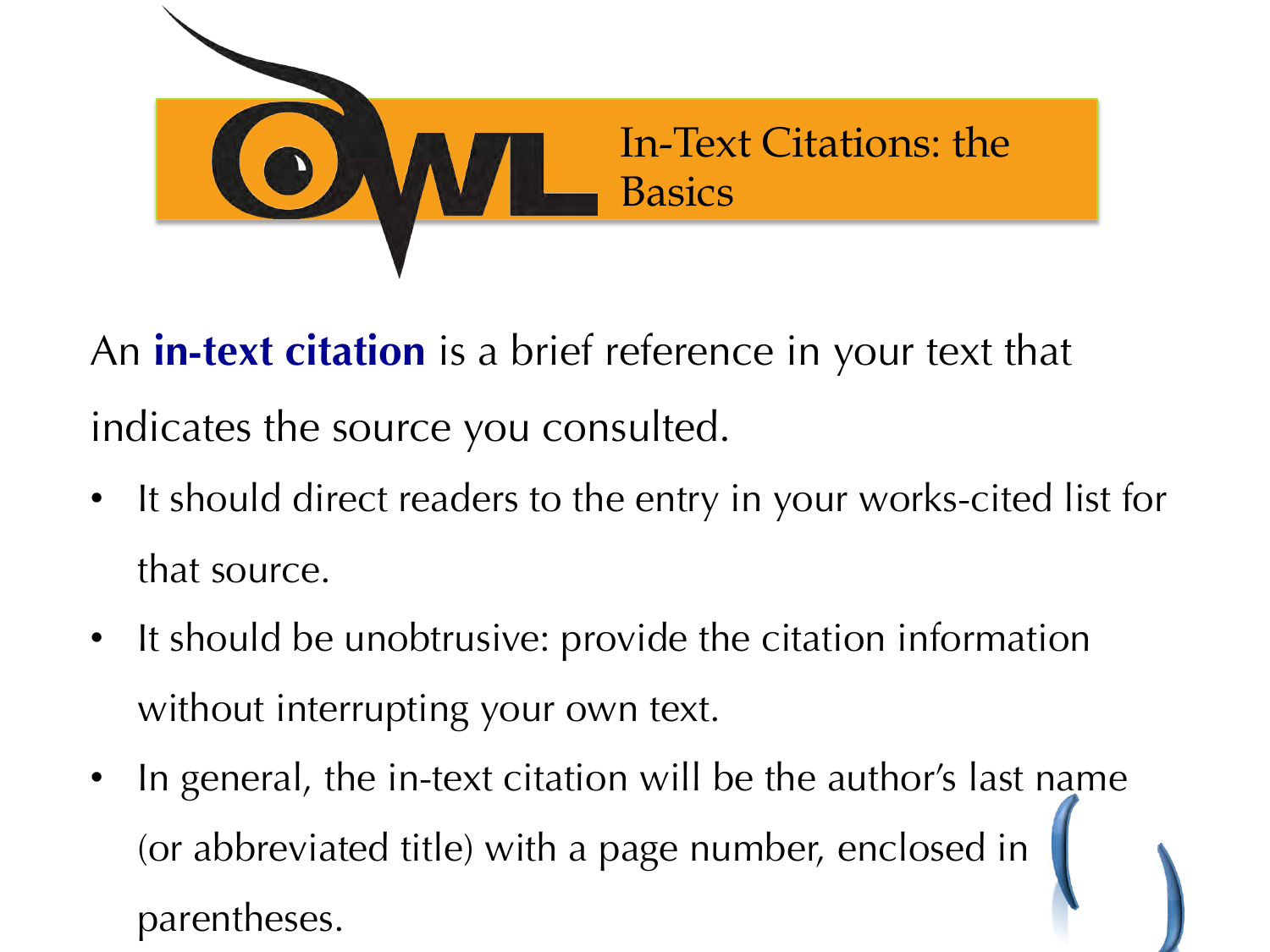

An **in-text citation** is a brief reference in your text that indicates the source you consulted.

- It should direct readers to the entry in your works-cited list for that source.
- It should be unobtrusive: provide the citation information without interrupting your own text.
- In general, the in-text citation will be the author's last name (or abbreviated title) with a page number, enclosed in parentheses.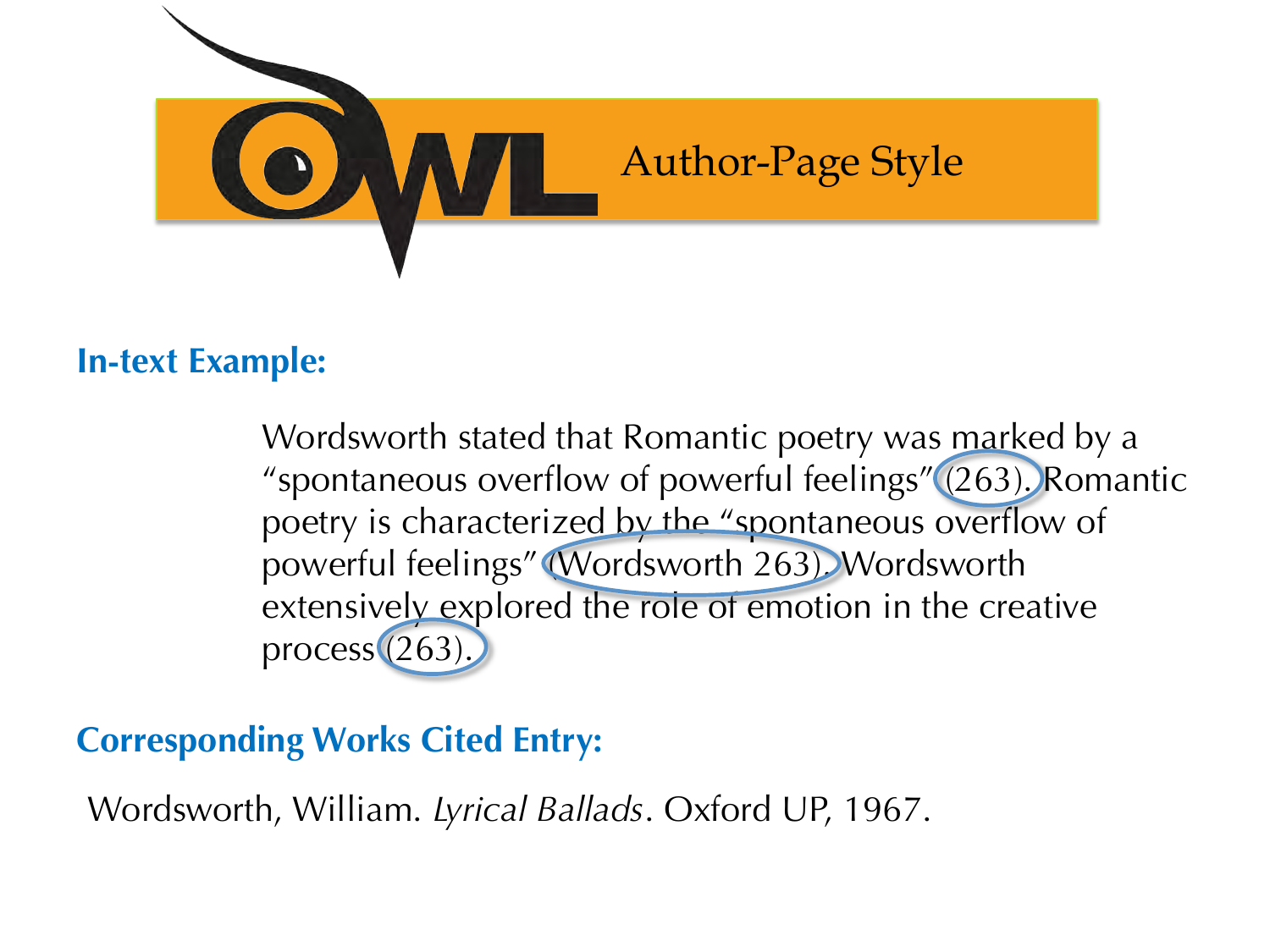

#### **In-text Example:**

Wordsworth stated that Romantic poetry was marked by a "spontaneous overflow of powerful feelings" (263). Romantic poetry is characterized by the "spontaneous overflow of powerful feelings" (Wordsworth 263). Wordsworth extensively explored the role of emotion in the creative process (263).

#### **Corresponding Works Cited Entry:**

Wordsworth, William. *Lyrical Ballads*. Oxford UP, 1967.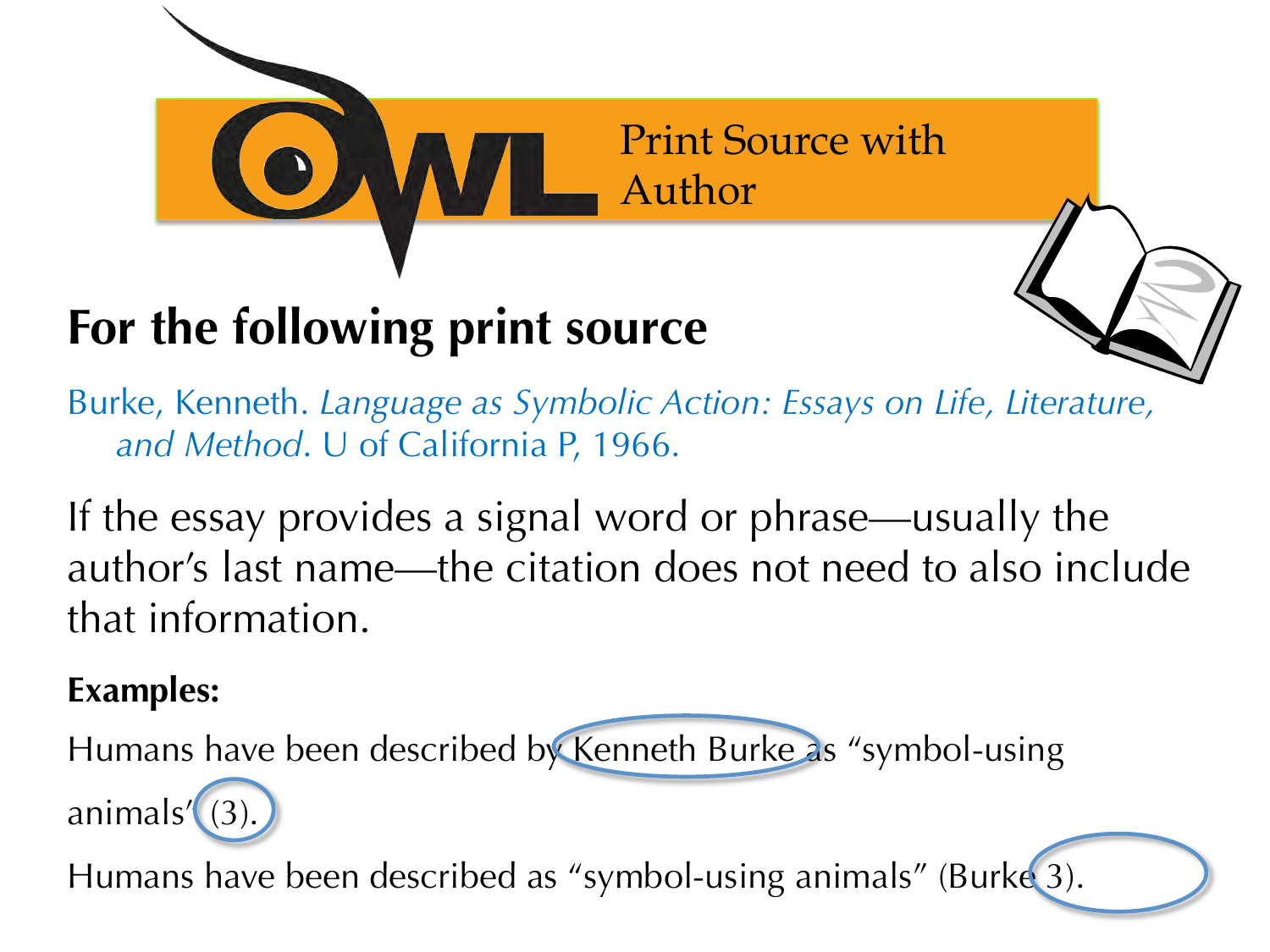

## **For the following print source**



Burke, Kenneth. *Language as Symbolic Action: Essays on Life, Literature, and Method*. U of California P, 1966.

If the essay provides a signal word or phrase—usually the author's last name—the citation does not need to also include that information.

#### **Examples:**

Humans have been described by Kenneth Burke as "symbol-using

animals' (3

Humans have been described as "symbol-using animals" (Burke 3).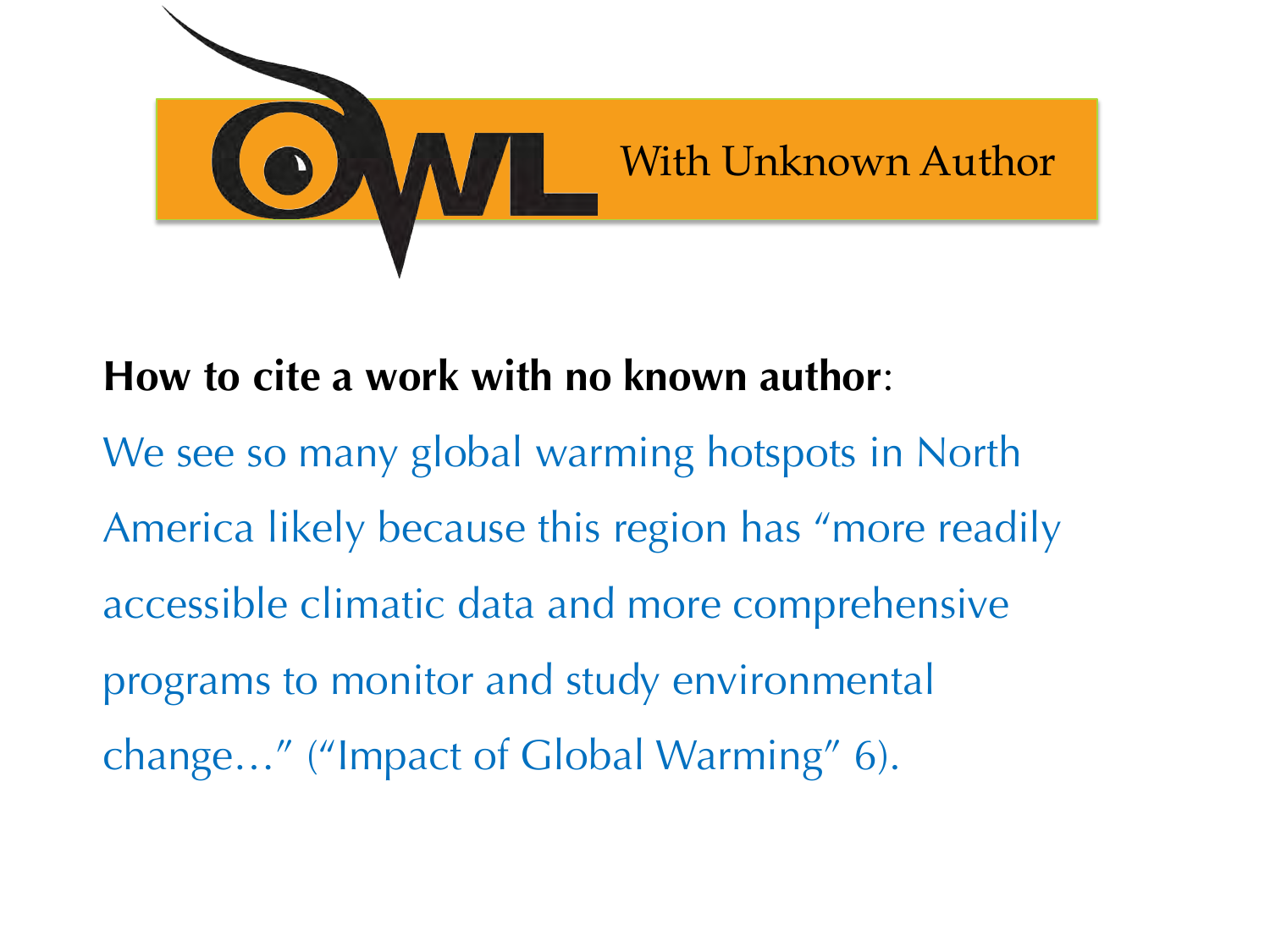

### **How to cite a work with no known author**:

We see so many global warming hotspots in North America likely because this region has "more readily accessible climatic data and more comprehensive programs to monitor and study environmental change…" ("Impact of Global Warming" 6).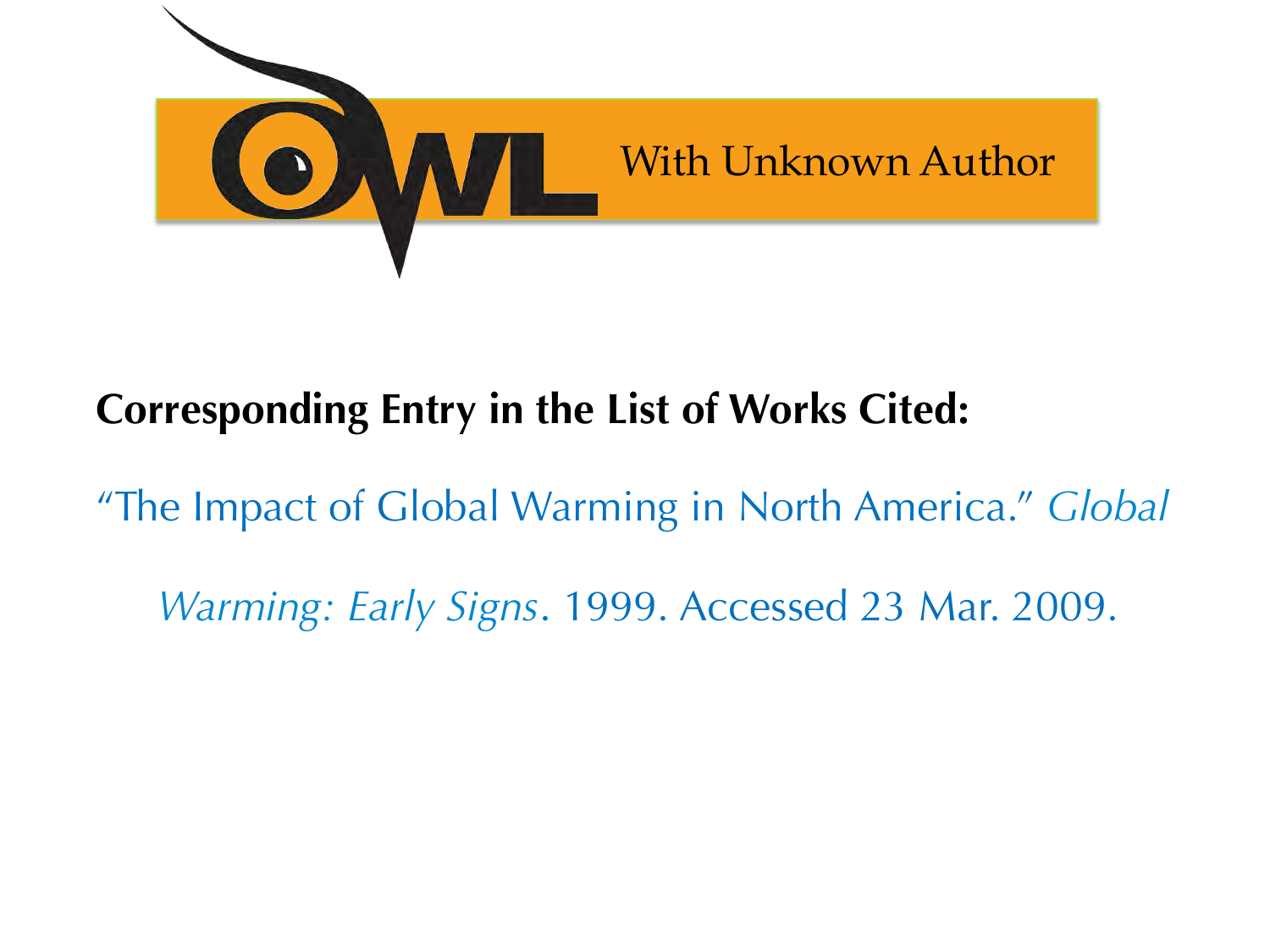

### **Corresponding Entry in the List of Works Cited:**

"The Impact of Global Warming in North America." *Global* 

*Warming: Early Signs*. 1999. Accessed 23 Mar. 2009.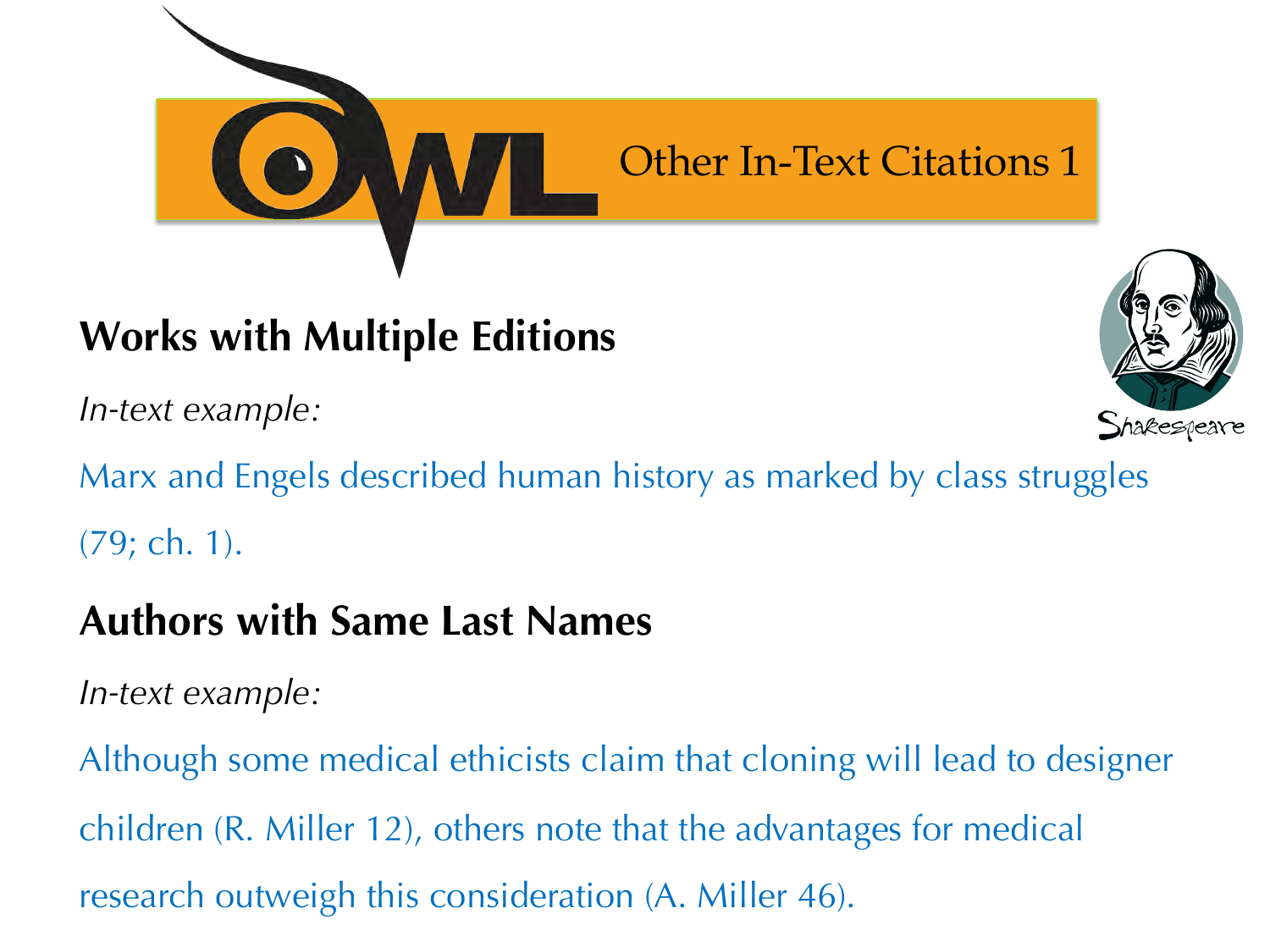

### **Works with Multiple Editions**

*In-text example:* 



Marx and Engels described human history as marked by class struggles (79; ch. 1).

#### **Authors with Same Last Names**

*In-text example:* 

Although some medical ethicists claim that cloning will lead to designer children (R. Miller 12), others note that the advantages for medical research outweigh this consideration (A. Miller 46).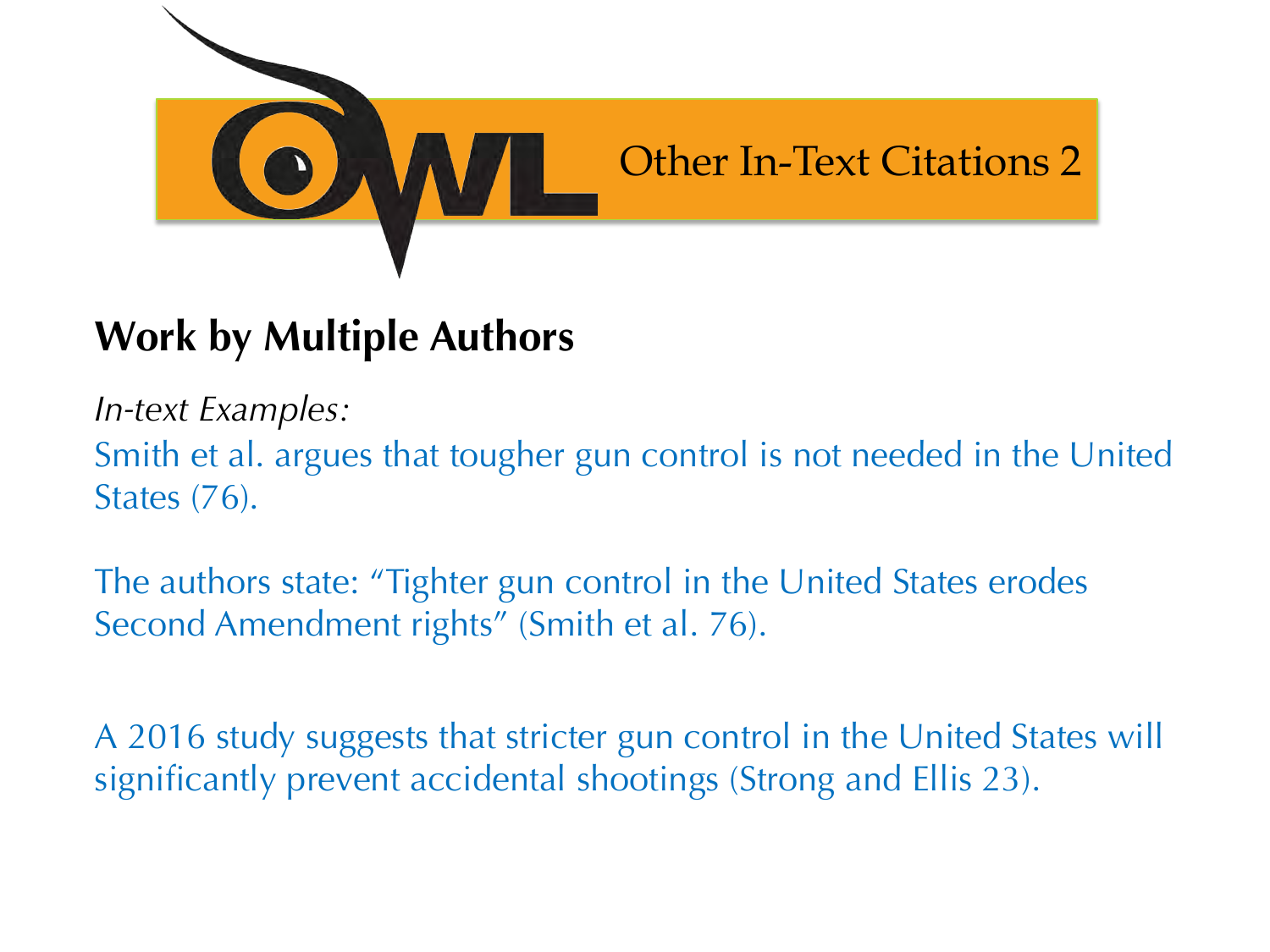

### **Work by Multiple Authors**

*In-text Examples:* 

Smith et al. argues that tougher gun control is not needed in the United States (76).

The authors state: "Tighter gun control in the United States erodes Second Amendment rights" (Smith et al. 76).

A 2016 study suggests that stricter gun control in the United States will significantly prevent accidental shootings (Strong and Ellis 23).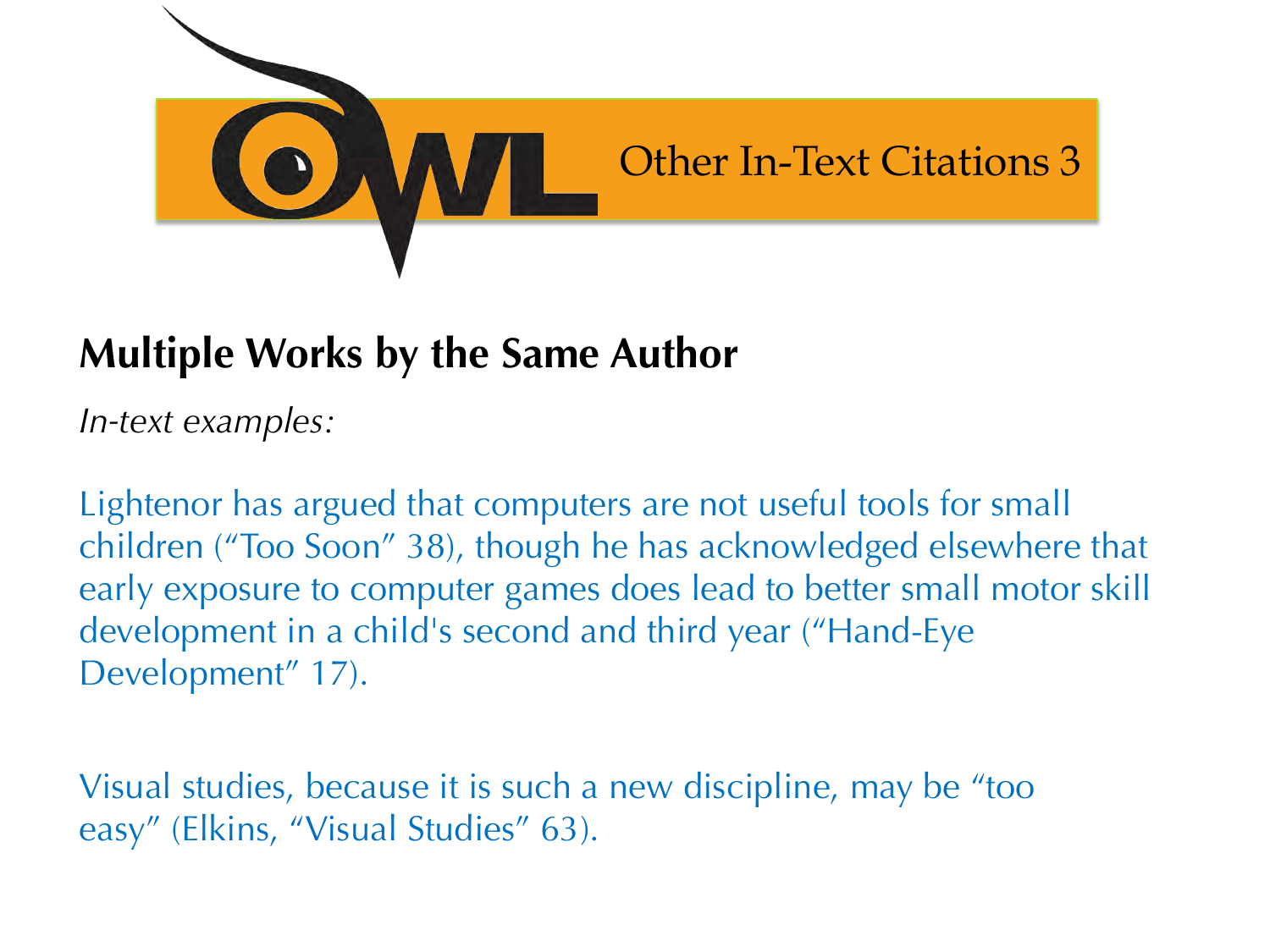

#### **Multiple Works by the Same Author**

*In-text examples:* 

Lightenor has argued that computers are not useful tools for small children ("Too Soon" 38), though he has acknowledged elsewhere that early exposure to computer games does lead to better small motor skill development in a child's second and third year ("Hand-Eye Development" 17).

Visual studies, because it is such a new discipline, may be "too easy" (Elkins, "Visual Studies" 63).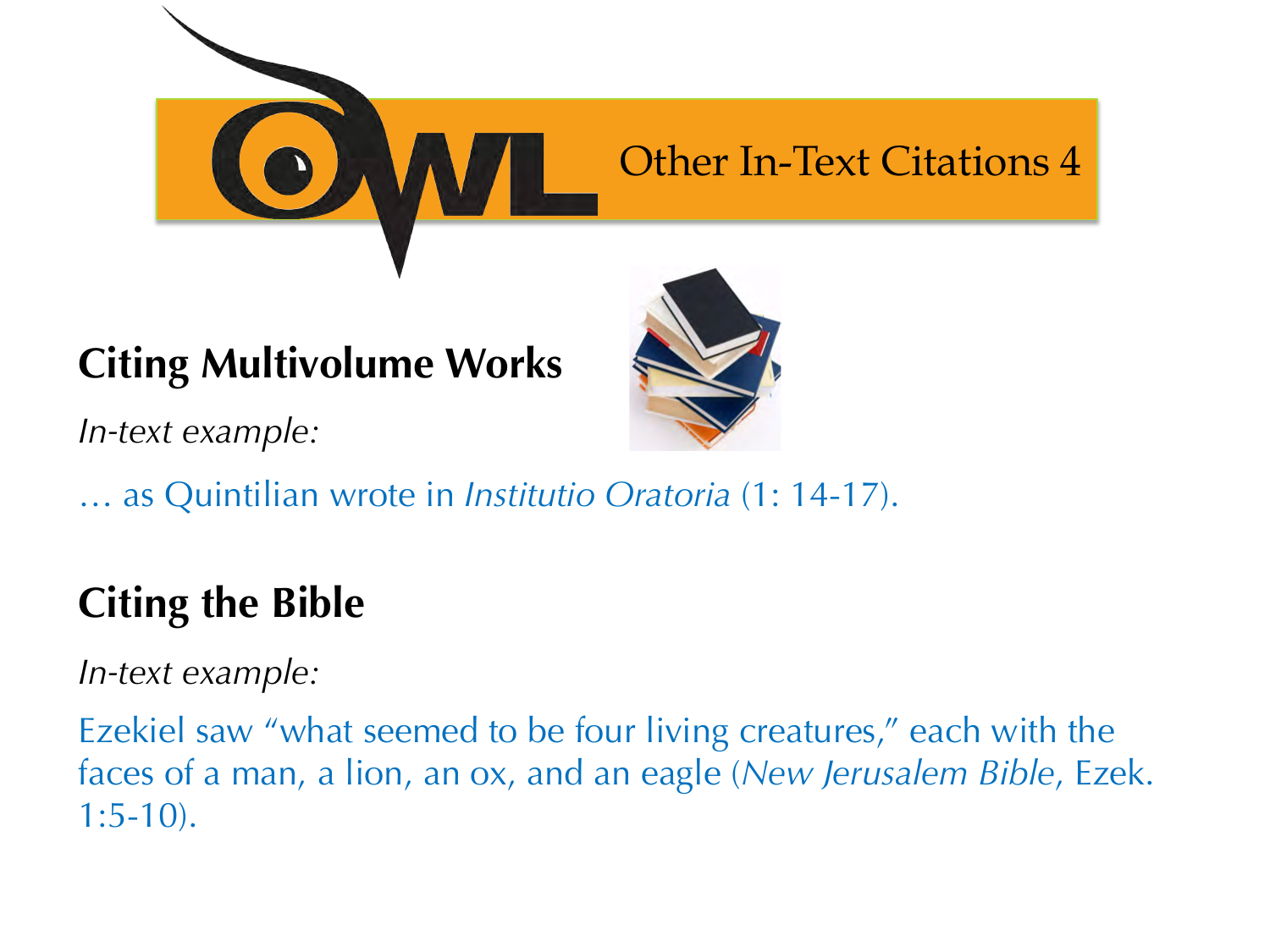

#### **Citing Multivolume Works**

*In-text example:* 



### **Citing the Bible**

*In-text example:* 

Ezekiel saw "what seemed to be four living creatures," each with the faces of a man, a lion, an ox, and an eagle (*New Jerusalem Bible*, Ezek. 1:5-10).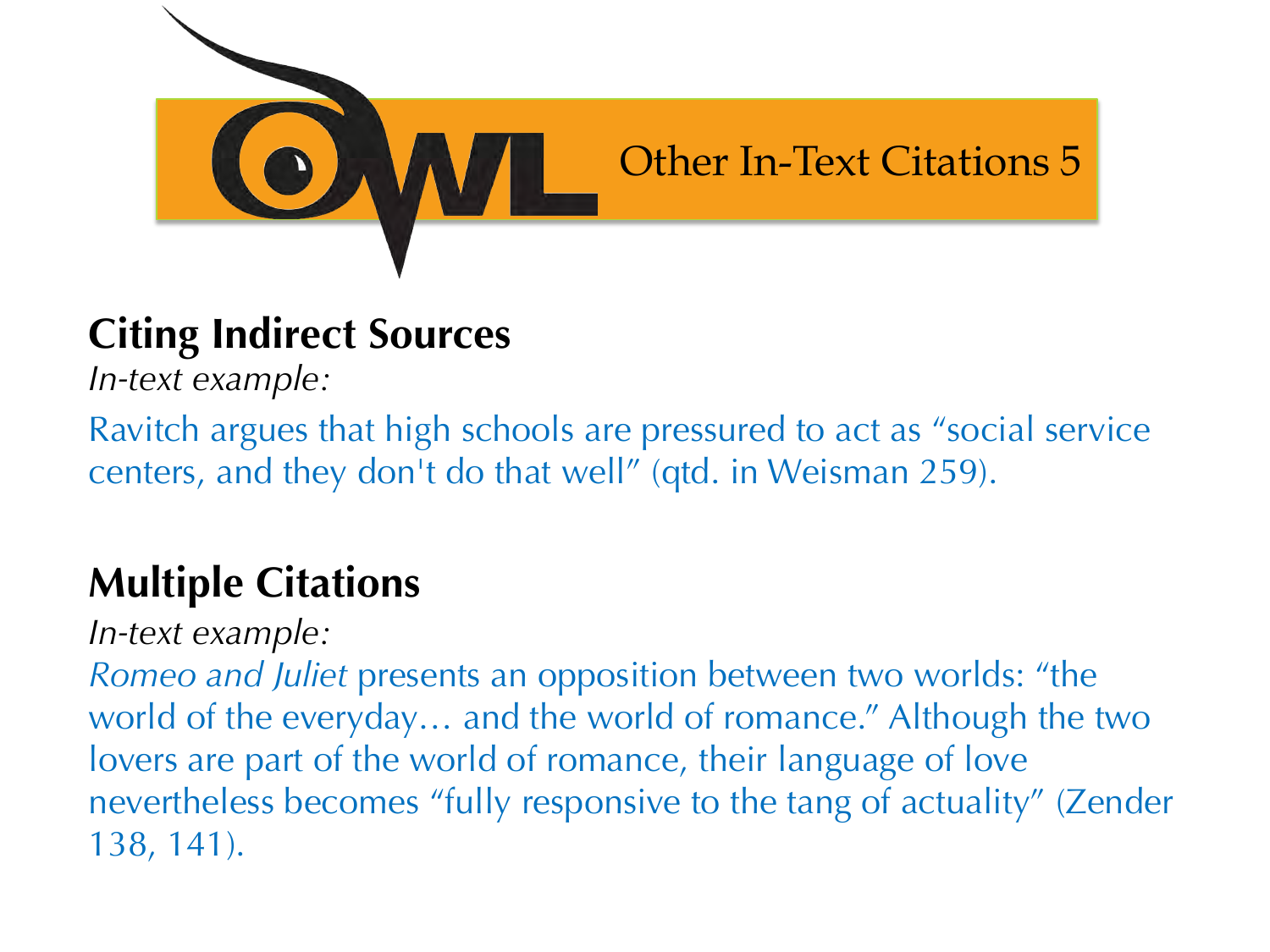

### **Citing Indirect Sources**

*In-text example:* 

Ravitch argues that high schools are pressured to act as "social service centers, and they don't do that well" (qtd. in Weisman 259).

### **Multiple Citations**

*In-text example:* 

*Romeo and Juliet* presents an opposition between two worlds: "the world of the everyday… and the world of romance." Although the two lovers are part of the world of romance, their language of love nevertheless becomes "fully responsive to the tang of actuality" (Zender 138, 141).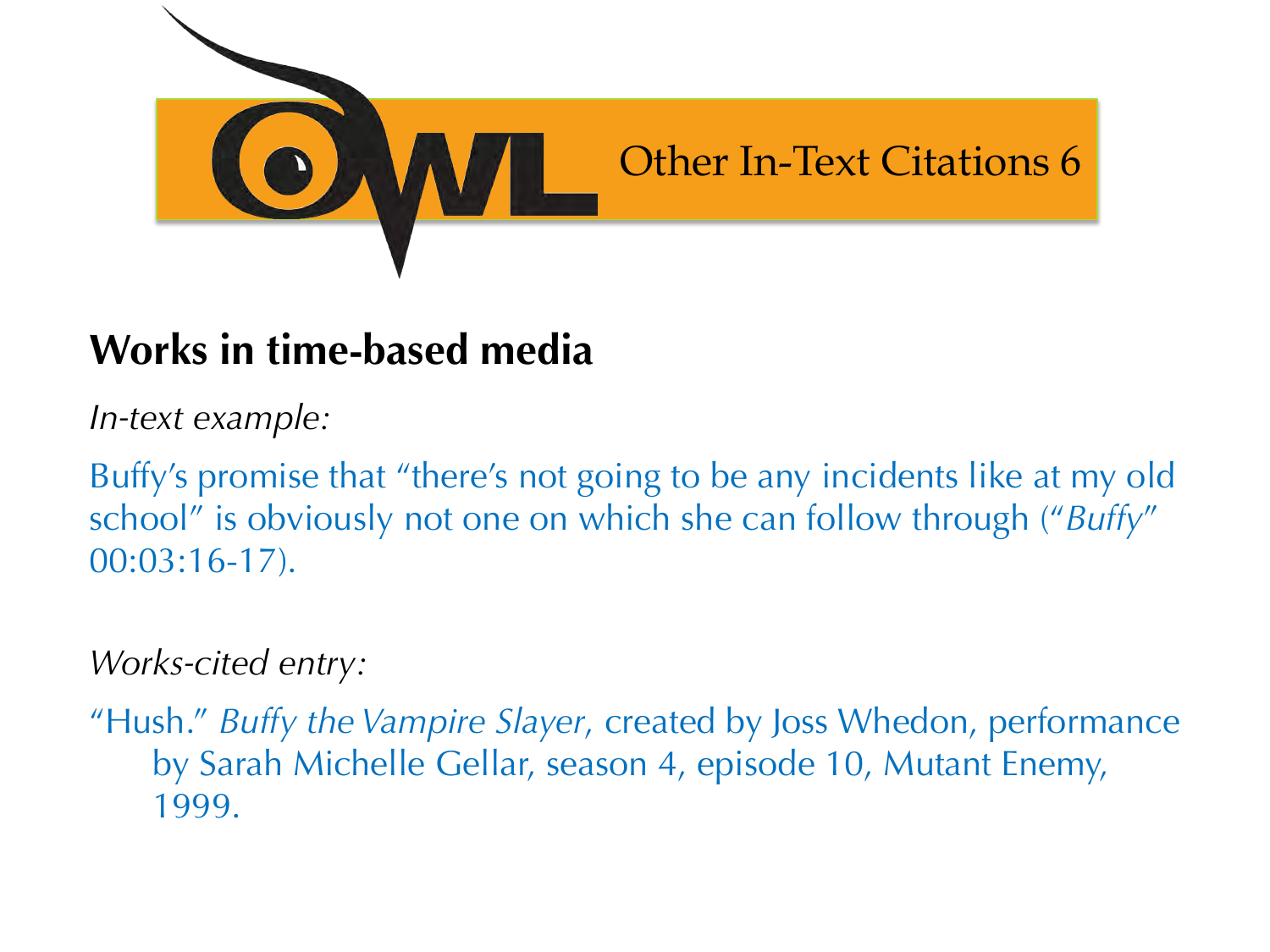

#### **Works in time-based media**

*In-text example:* 

Buffy's promise that "there's not going to be any incidents like at my old school" is obviously not one on which she can follow through ("*Buffy*" 00:03:16-17).

#### *Works-cited entry:*

"Hush." *Buffy the Vampire Slayer*, created by Joss Whedon, performance by Sarah Michelle Gellar, season 4, episode 10, Mutant Enemy, 1999.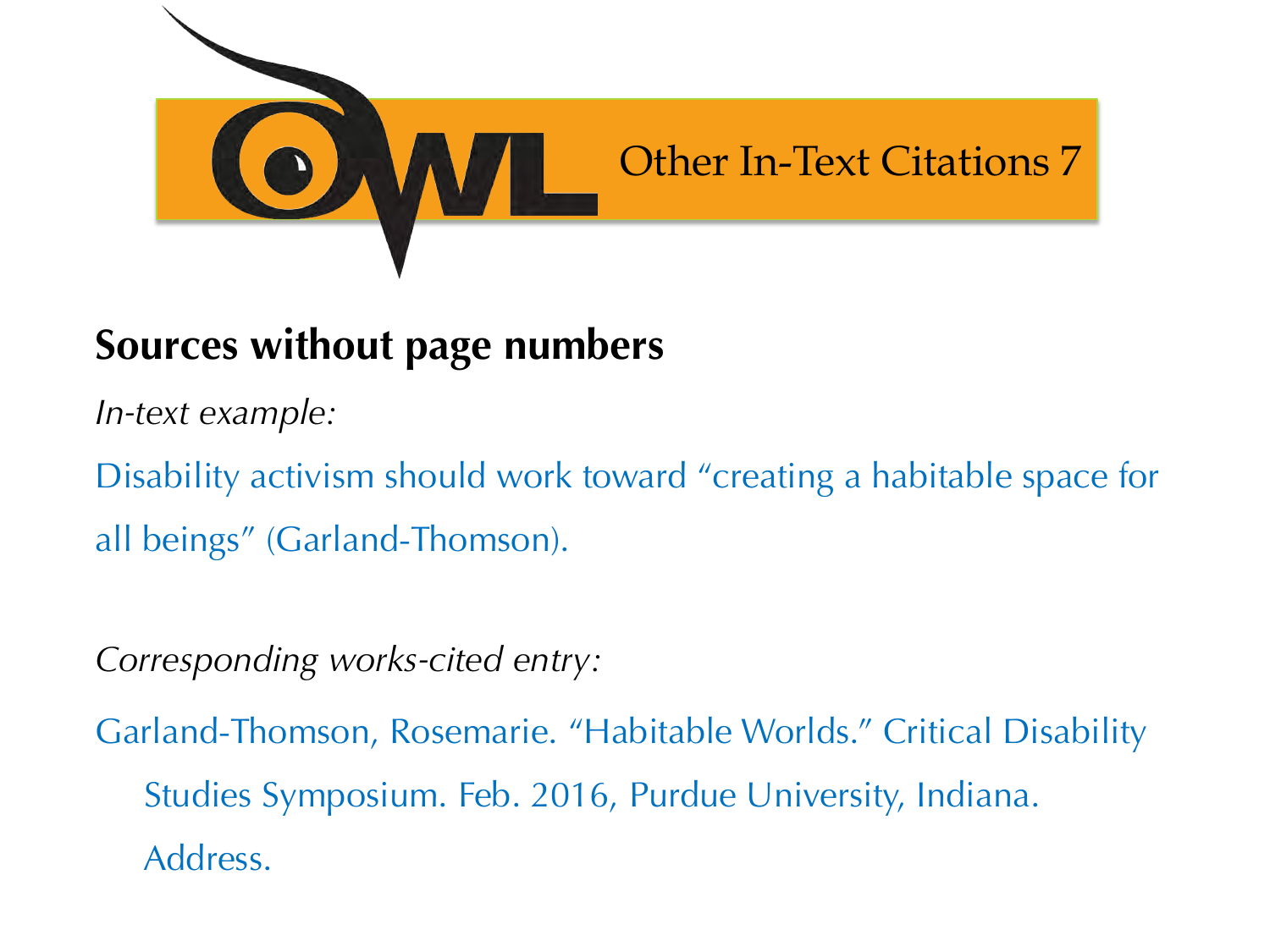

#### **Sources without page numbers**

*In-text example:* 

Disability activism should work toward "creating a habitable space for all beings" (Garland-Thomson).

*Corresponding works-cited entry:* 

Garland-Thomson, Rosemarie. "Habitable Worlds." Critical Disability Studies Symposium. Feb. 2016, Purdue University, Indiana. Address.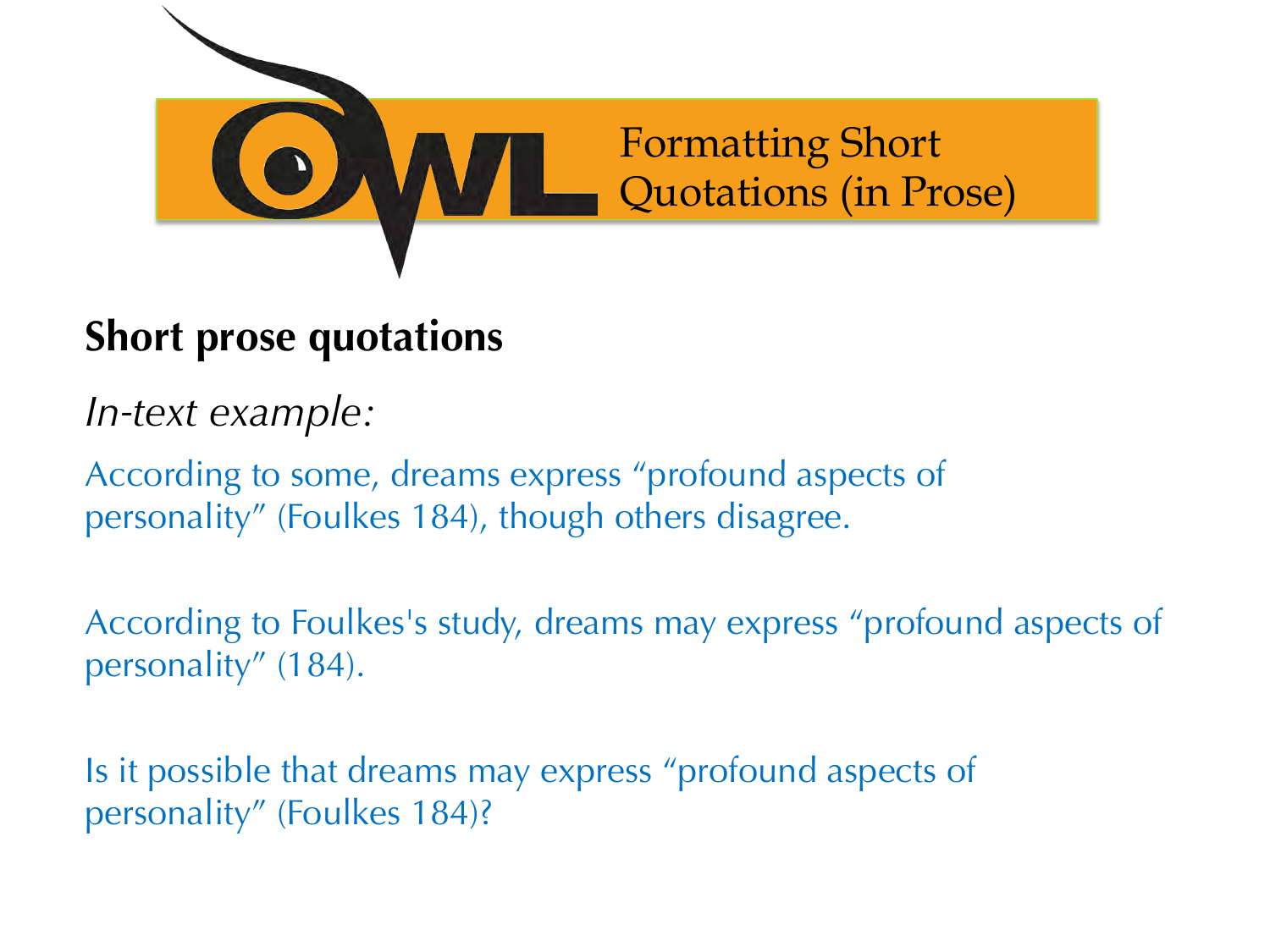

#### **Short prose quotations**

*In-text example:* 

According to some, dreams express "profound aspects of personality" (Foulkes 184), though others disagree.

According to Foulkes's study, dreams may express "profound aspects of personality" (184).

Is it possible that dreams may express "profound aspects of personality" (Foulkes 184)?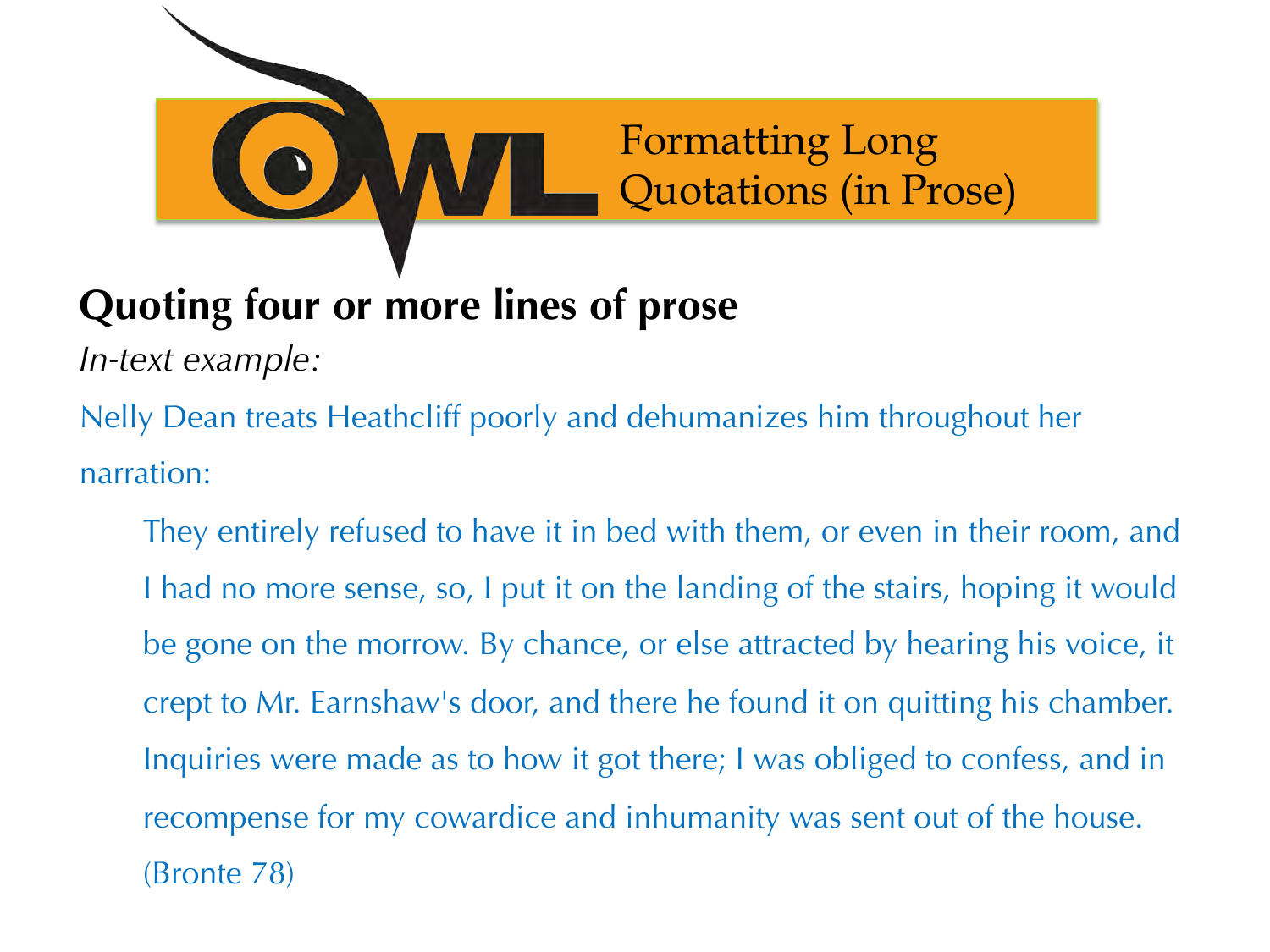

### **Quoting four or more lines of prose**

*In-text example:* 

Nelly Dean treats Heathcliff poorly and dehumanizes him throughout her narration:

They entirely refused to have it in bed with them, or even in their room, and I had no more sense, so, I put it on the landing of the stairs, hoping it would be gone on the morrow. By chance, or else attracted by hearing his voice, it crept to Mr. Earnshaw's door, and there he found it on quitting his chamber. Inquiries were made as to how it got there; I was obliged to confess, and in recompense for my cowardice and inhumanity was sent out of the house. (Bronte 78)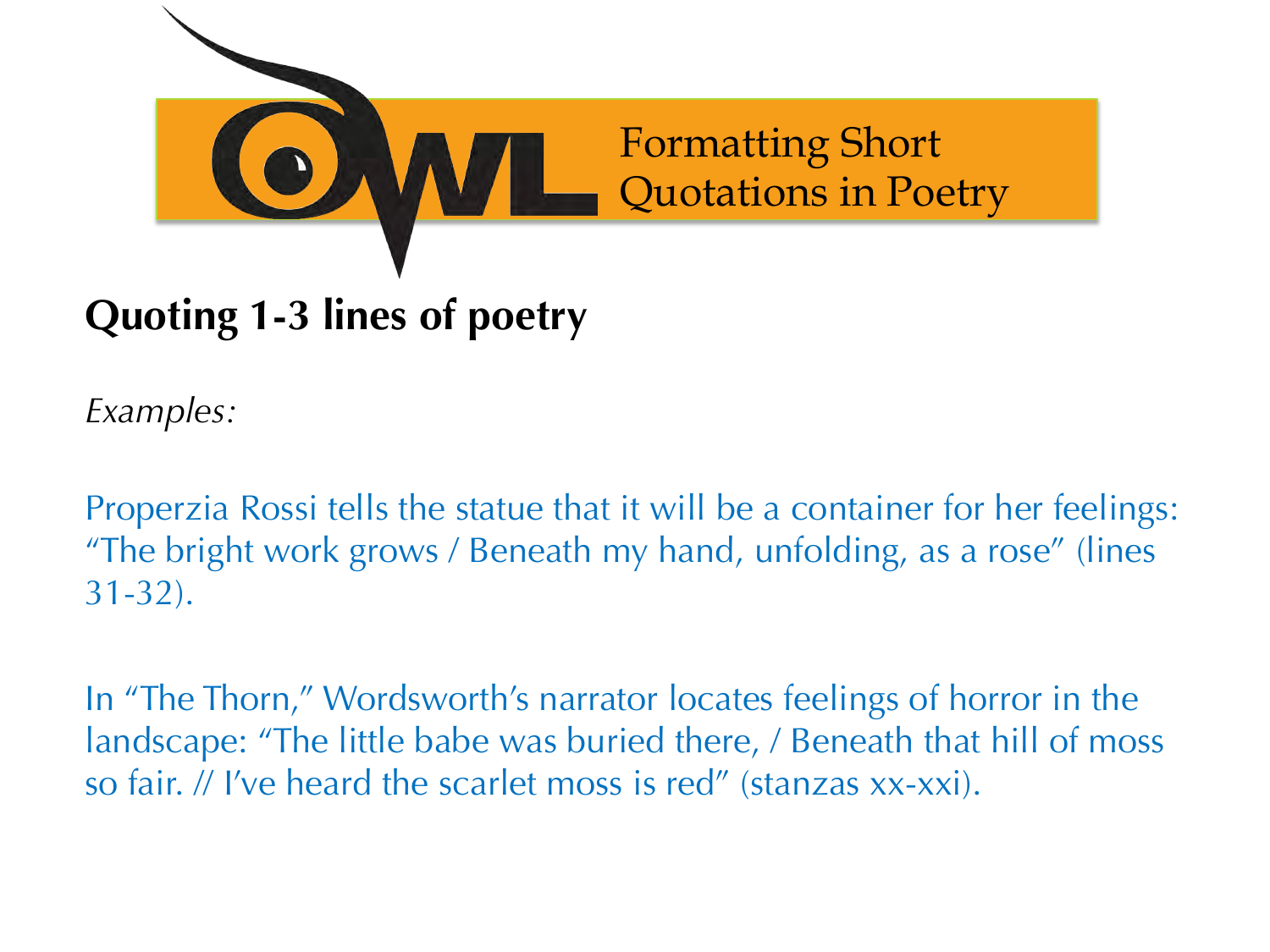

#### **Quoting 1-3 lines of poetry**

*Examples:* 

Properzia Rossi tells the statue that it will be a container for her feelings: "The bright work grows / Beneath my hand, unfolding, as a rose" (lines 31-32).

In "The Thorn," Wordsworth's narrator locates feelings of horror in the landscape: "The little babe was buried there, / Beneath that hill of moss so fair. // I've heard the scarlet moss is red" (stanzas xx-xxi).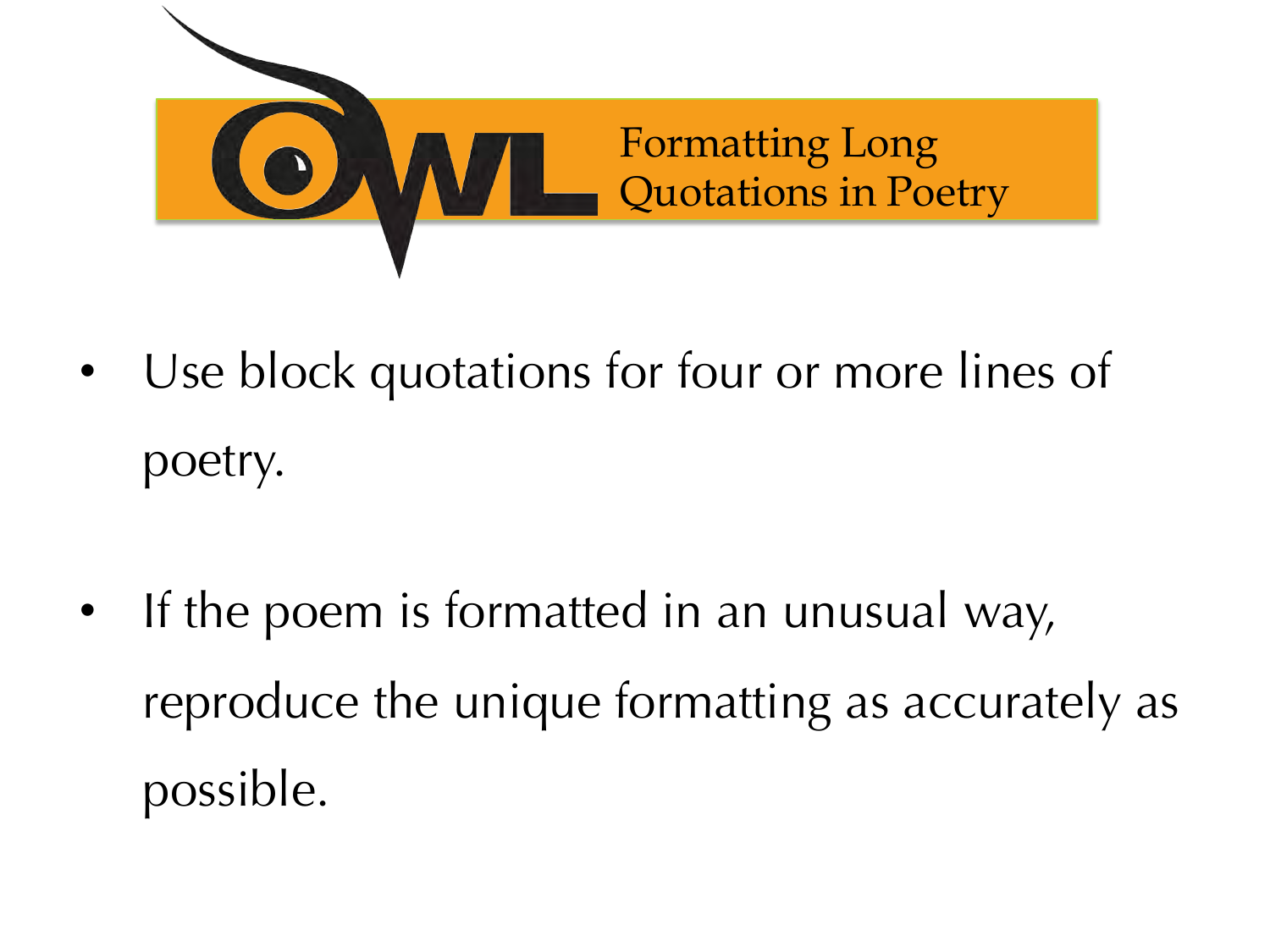

- Use block quotations for four or more lines of poetry.
- If the poem is formatted in an unusual way, reproduce the unique formatting as accurately as possible.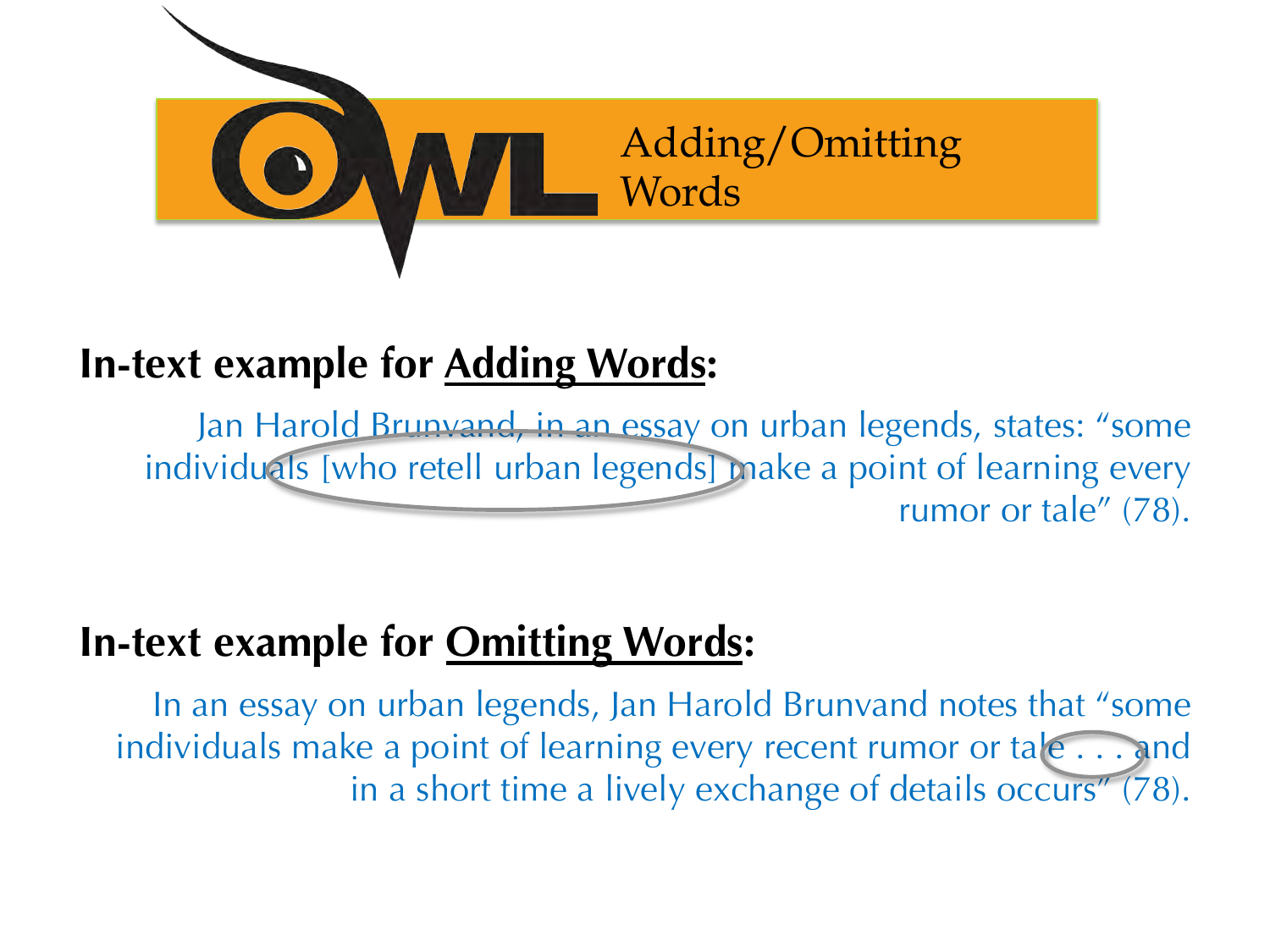

#### **In-text example for Adding Words:**

Jan Harold Brunvand, in an essay on urban legends, states: "some individuals [who retell urban legends] make a point of learning every rumor or tale" (78).

#### **In-text example for Omitting Words:**

In an essay on urban legends, Jan Harold Brunvand notes that "some individuals make a point of learning every recent rumor or tale . . . and in a short time a lively exchange of details occurs" (78).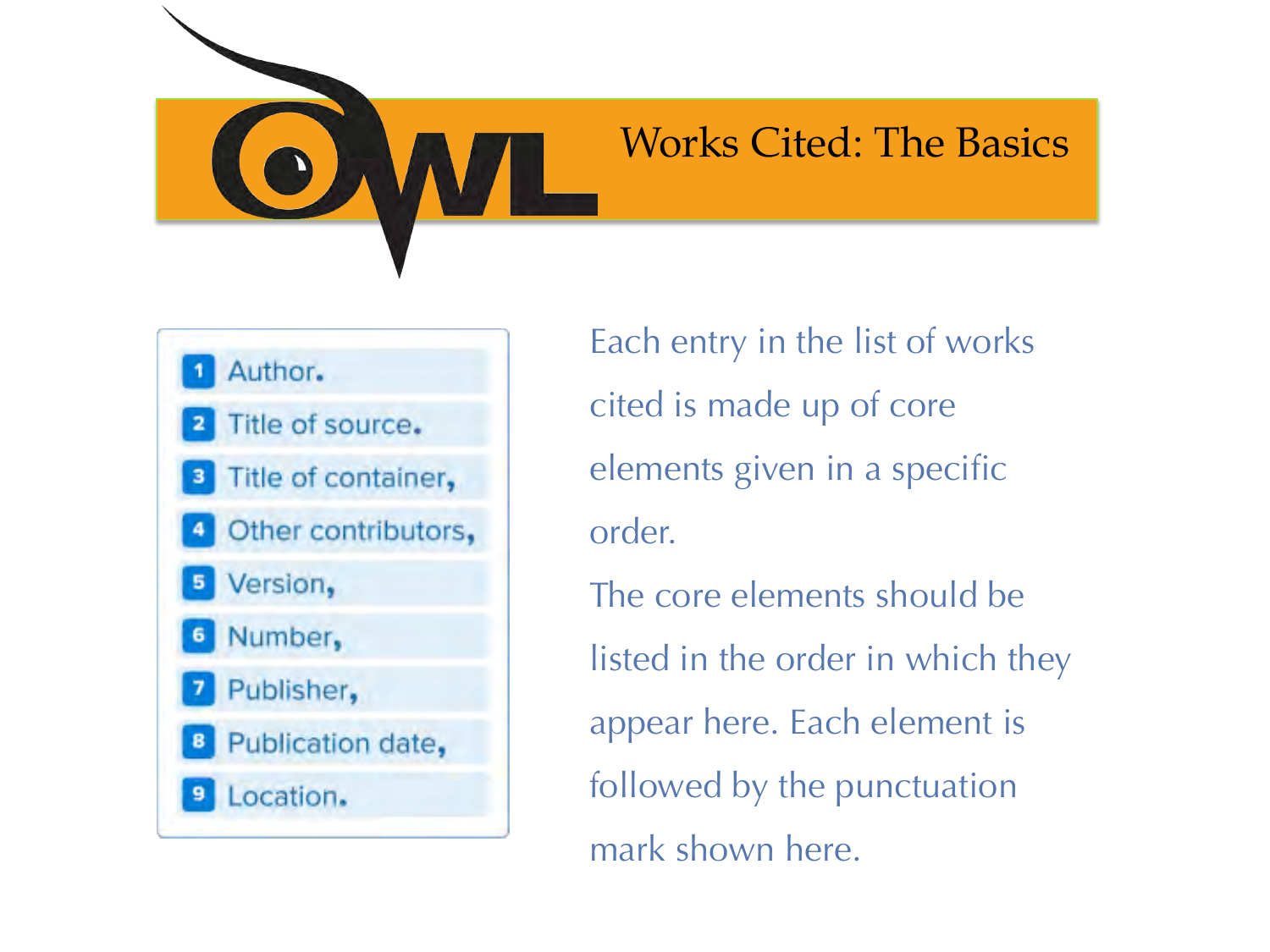

#### Works Cited: The Basics



Each entry in the list of works cited is made up of core elements given in a specific order. The core elements should be listed in the order in which they appear here. Each element is

followed by the punctuation mark shown here.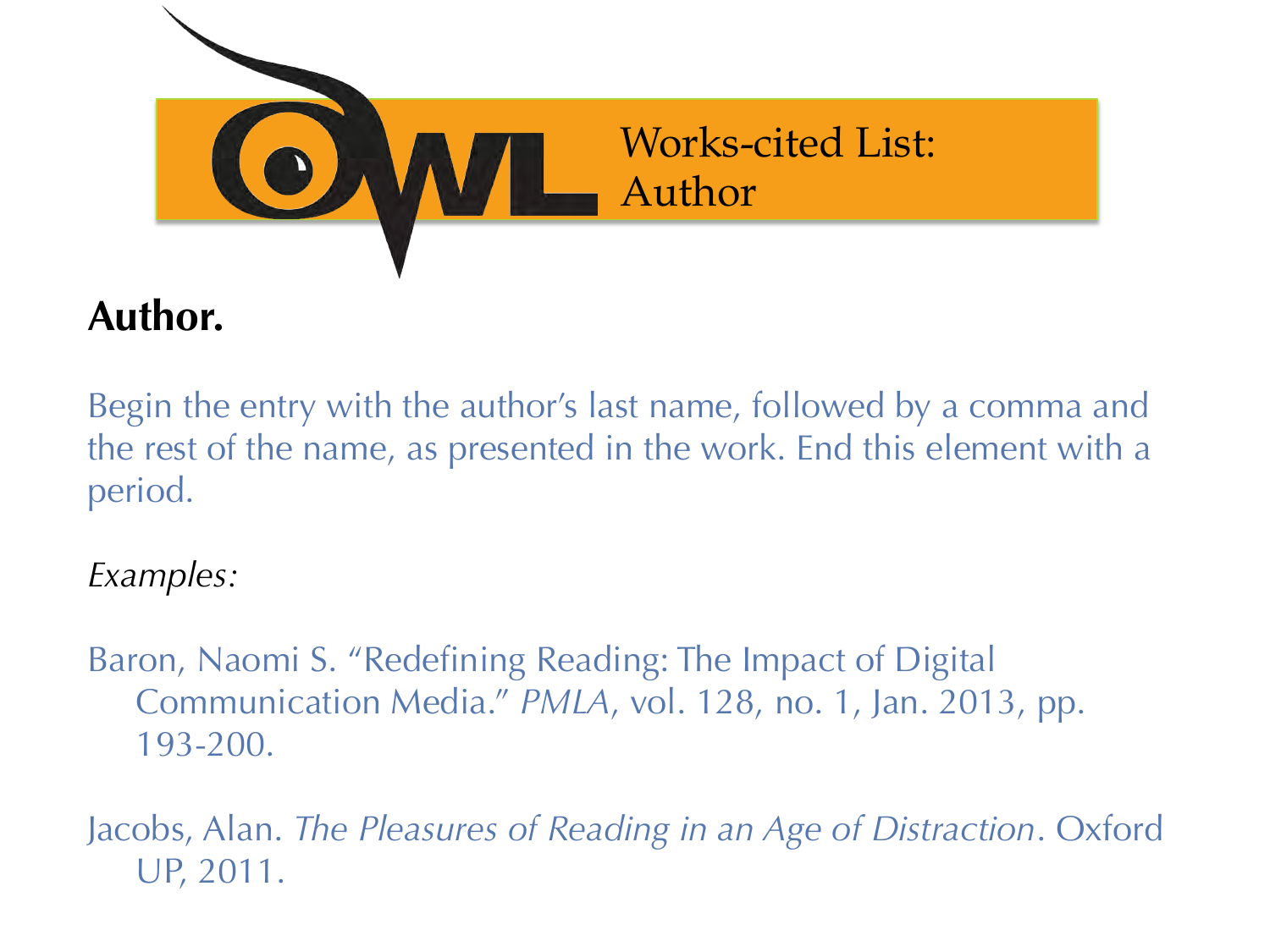

#### **Author.**

Begin the entry with the author's last name, followed by a comma and the rest of the name, as presented in the work. End this element with a period.

*Examples:* 

Baron, Naomi S. "Redefining Reading: The Impact of Digital Communication Media." *PMLA*, vol. 128, no. 1, Jan. 2013, pp. 193-200.

Jacobs, Alan. *The Pleasures of Reading in an Age of Distraction*. Oxford UP, 2011.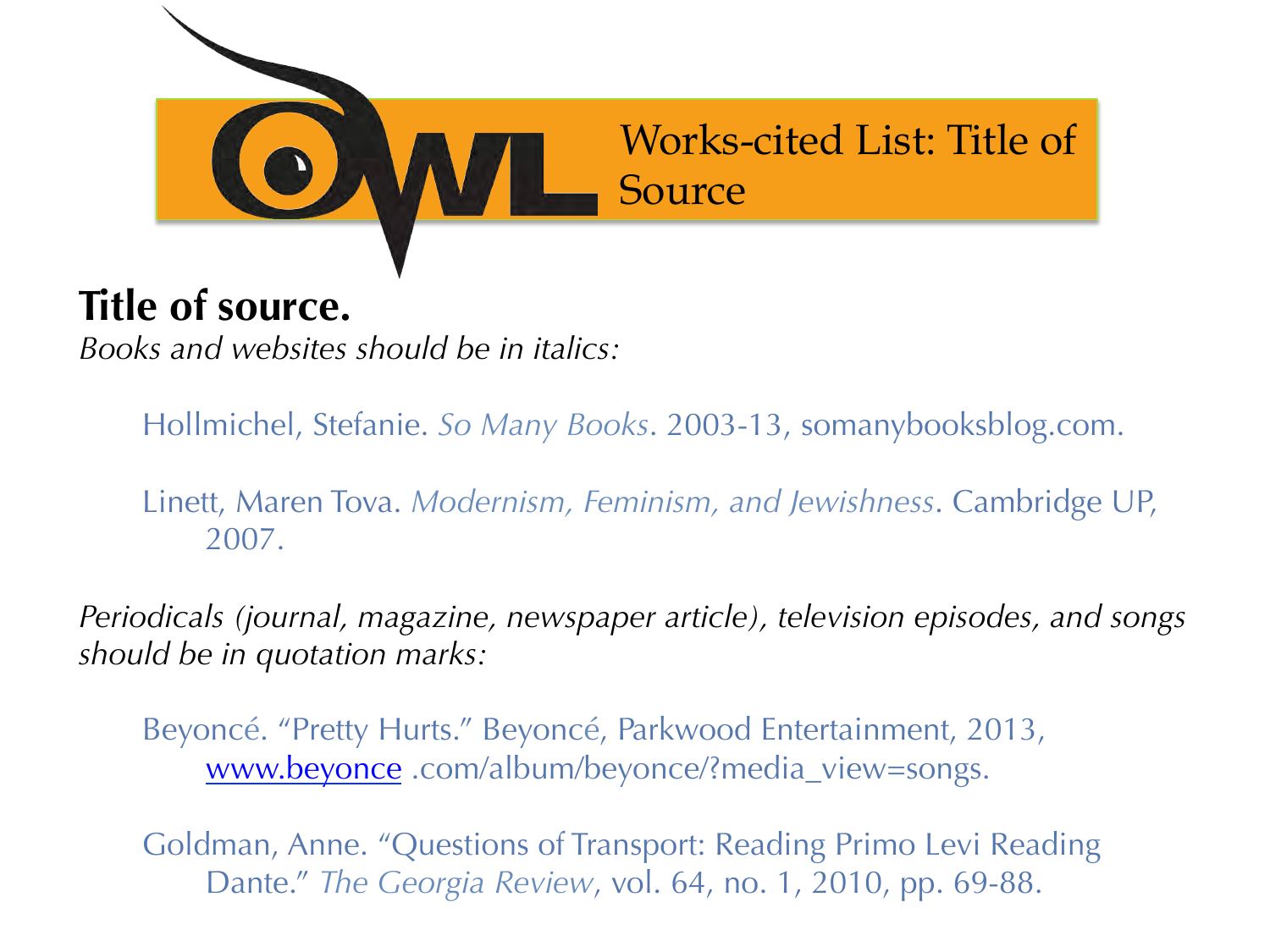

#### **Title of source.**

*Books and websites should be in italics:* 

Hollmichel, Stefanie. *So Many Books*. 2003-13, somanybooksblog.com.

Linett, Maren Tova. *Modernism, Feminism, and Jewishness*. Cambridge UP, 2007.

*Periodicals (journal, magazine, newspaper article), television episodes, and songs should be in quotation marks:* 

Beyoncé. "Pretty Hurts." Beyoncé, Parkwood Entertainment, 2013, www.beyonce .com/album/beyonce/?media\_view=songs.

Goldman, Anne. "Questions of Transport: Reading Primo Levi Reading Dante." *The Georgia Review*, vol. 64, no. 1, 2010, pp. 69-88.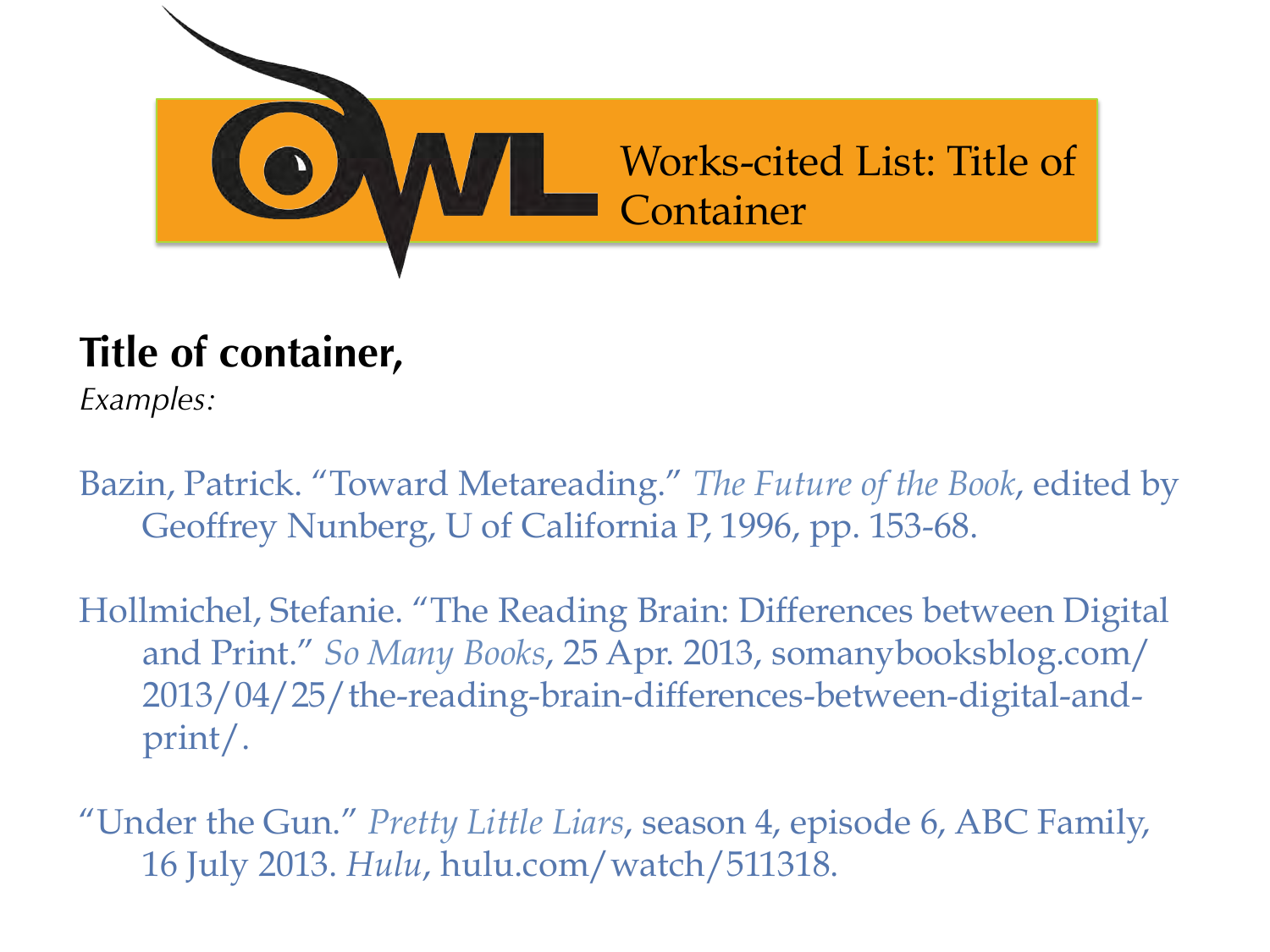

### **Title of container,**

*Examples:* 

Bazin, Patrick. "Toward Metareading." *The Future of the Book*, edited by Geoffrey Nunberg, U of California P, 1996, pp. 153-68.

Hollmichel, Stefanie. "The Reading Brain: Differences between Digital and Print." *So Many Books*, 25 Apr. 2013, somanybooksblog.com/ 2013/04/25/the-reading-brain-differences-between-digital-andprint/.

"Under the Gun." *Pretty Little Liars*, season 4, episode 6, ABC Family, 16 July 2013. *Hulu*, hulu.com/watch/511318.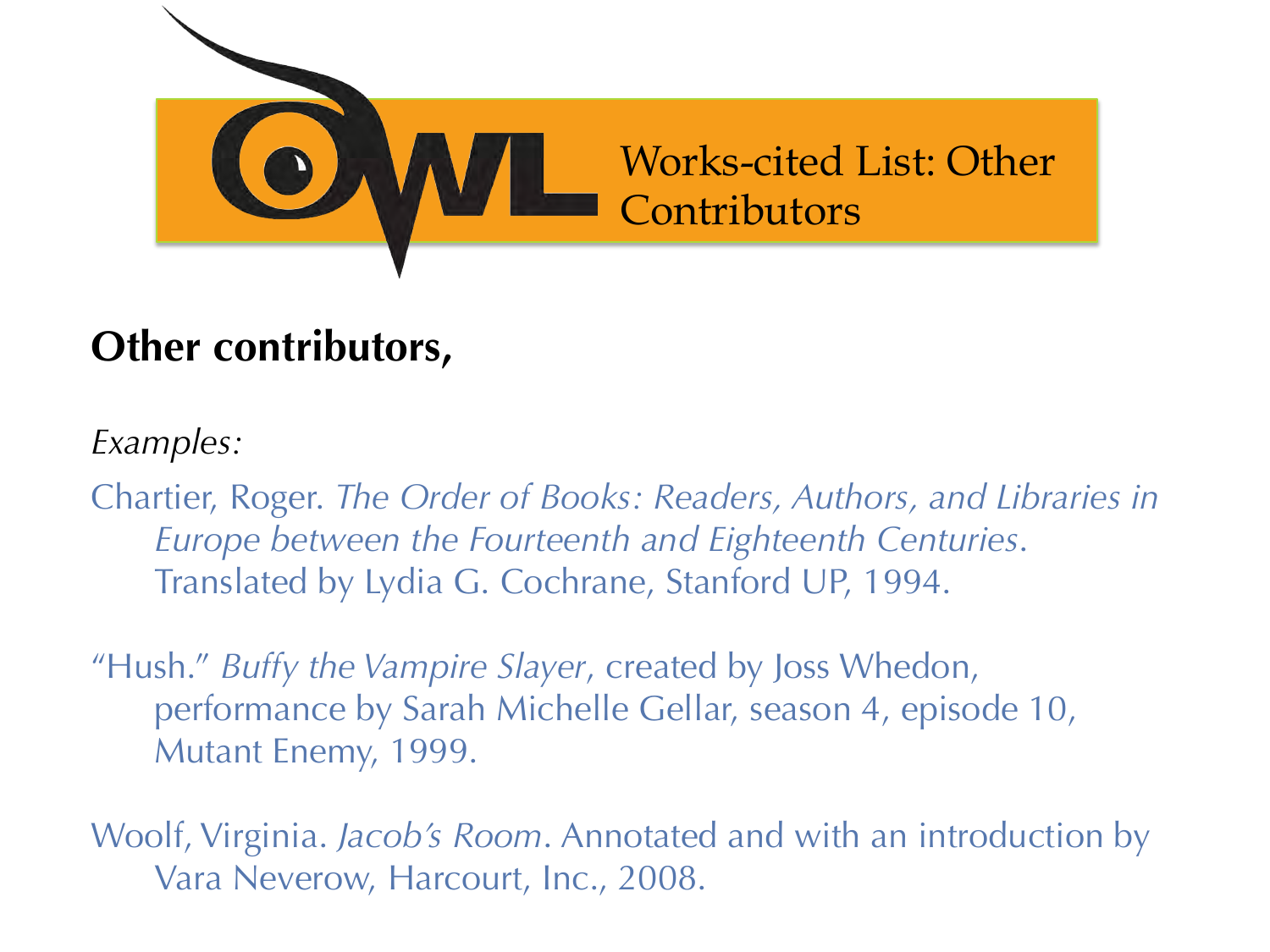

#### **Other contributors,**

*Examples:* 

Chartier, Roger. *The Order of Books: Readers, Authors, and Libraries in Europe between the Fourteenth and Eighteenth Centuries*. Translated by Lydia G. Cochrane, Stanford UP, 1994.

"Hush." *Buffy the Vampire Slayer*, created by Joss Whedon, performance by Sarah Michelle Gellar, season 4, episode 10, Mutant Enemy, 1999.

Woolf, Virginia. *Jacob's Room*. Annotated and with an introduction by Vara Neverow, Harcourt, Inc., 2008.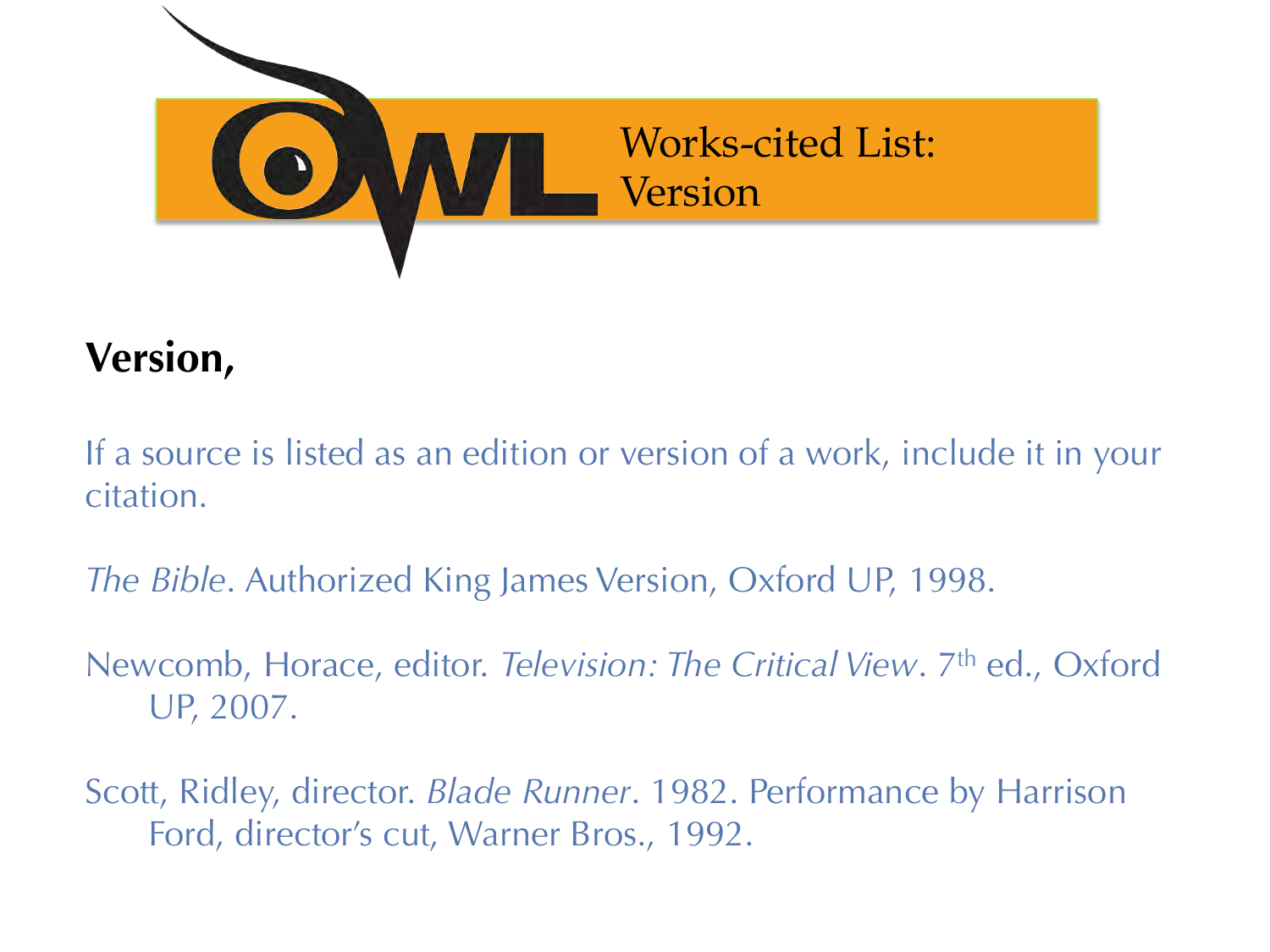

#### **Version,**

If a source is listed as an edition or version of a work, include it in your citation.

*The Bible*. Authorized King James Version, Oxford UP, 1998.

Newcomb, Horace, editor. *Television: The Critical View*. 7<sup>th</sup> ed., Oxford UP, 2007.

Scott, Ridley, director. *Blade Runner*. 1982. Performance by Harrison Ford, director's cut, Warner Bros., 1992.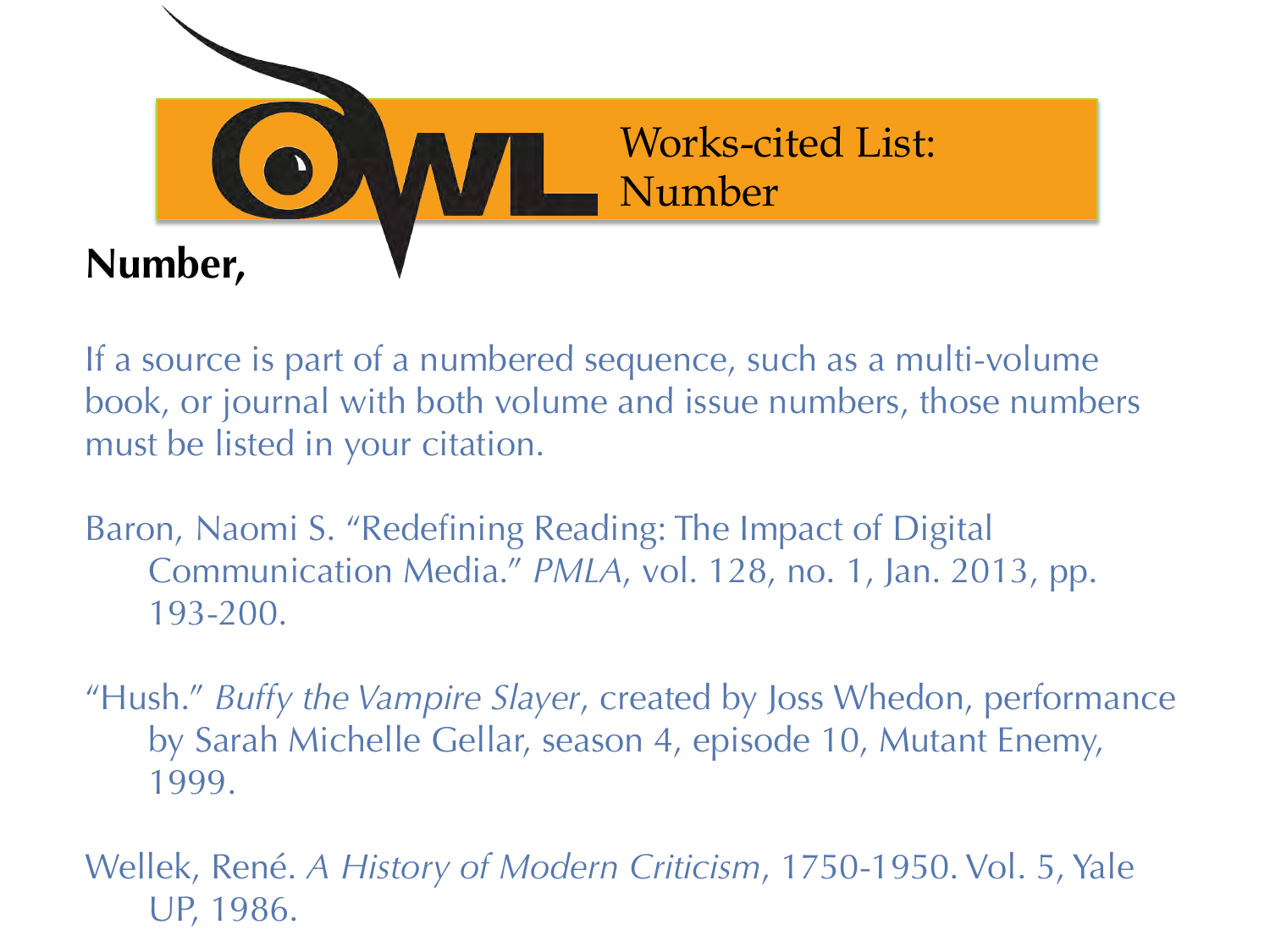

If a source is part of a numbered sequence, such as a multi-volume book, or journal with both volume and issue numbers, those numbers must be listed in your citation.

Baron, Naomi S. "Redefining Reading: The Impact of Digital Communication Media." *PMLA*, vol. 128, no. 1, Jan. 2013, pp. 193-200.

"Hush." *Buffy the Vampire Slayer*, created by Joss Whedon, performance by Sarah Michelle Gellar, season 4, episode 10, Mutant Enemy, 1999.

Wellek, René. *A History of Modern Criticism*, 1750-1950. Vol. 5, Yale UP, 1986.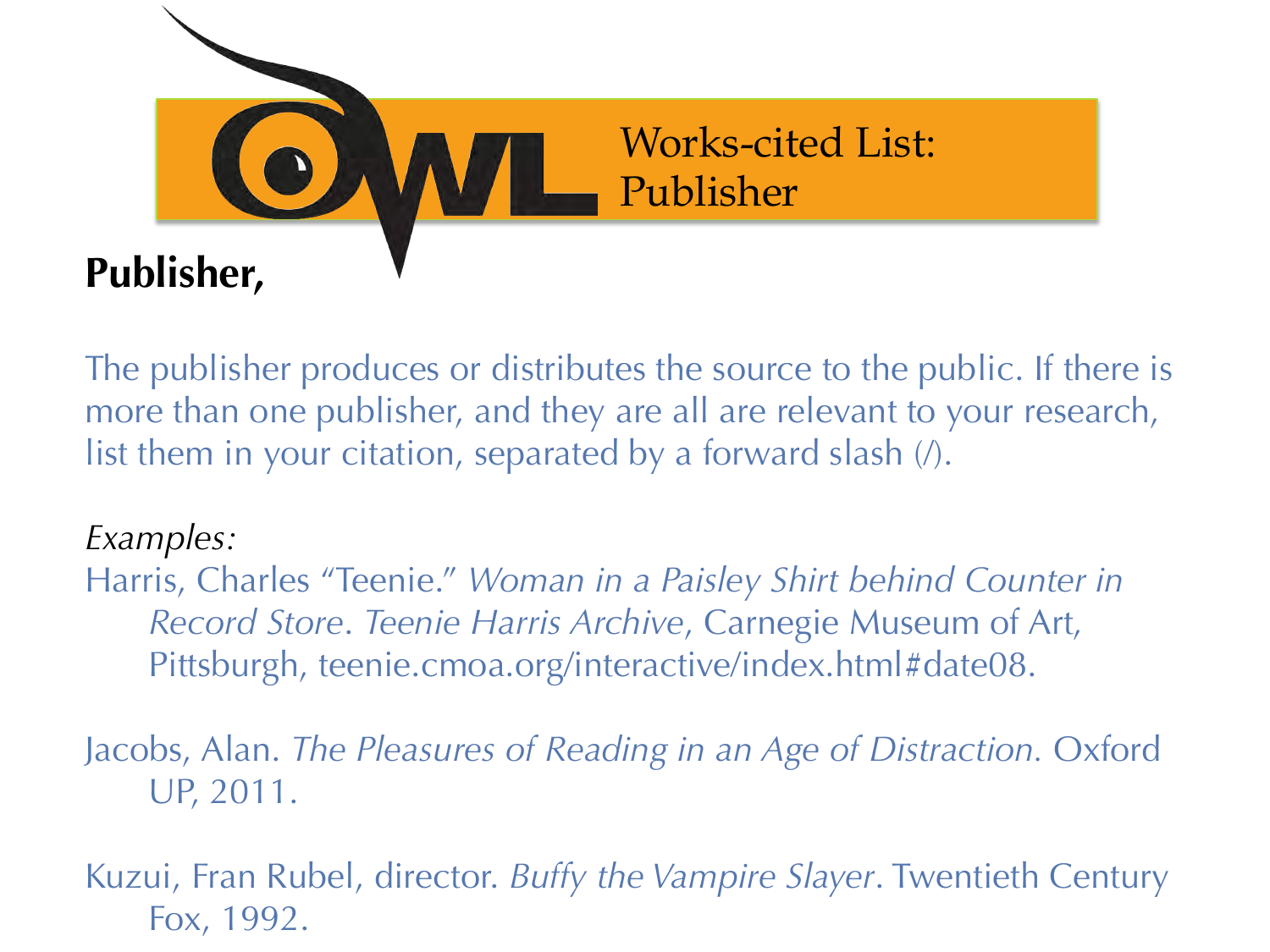

The publisher produces or distributes the source to the public. If there is more than one publisher, and they are all are relevant to your research, list them in your citation, separated by a forward slash  $\theta$ .

#### *Examples:*

Harris, Charles "Teenie." *Woman in a Paisley Shirt behind Counter in Record Store*. *Teenie Harris Archive*, Carnegie Museum of Art, Pittsburgh, teenie.cmoa.org/interactive/index.html#date08.

Jacobs, Alan. *The Pleasures of Reading in an Age of Distraction.* Oxford UP, 2011.

Kuzui, Fran Rubel, director. *Buffy the Vampire Slayer*. Twentieth Century Fox, 1992.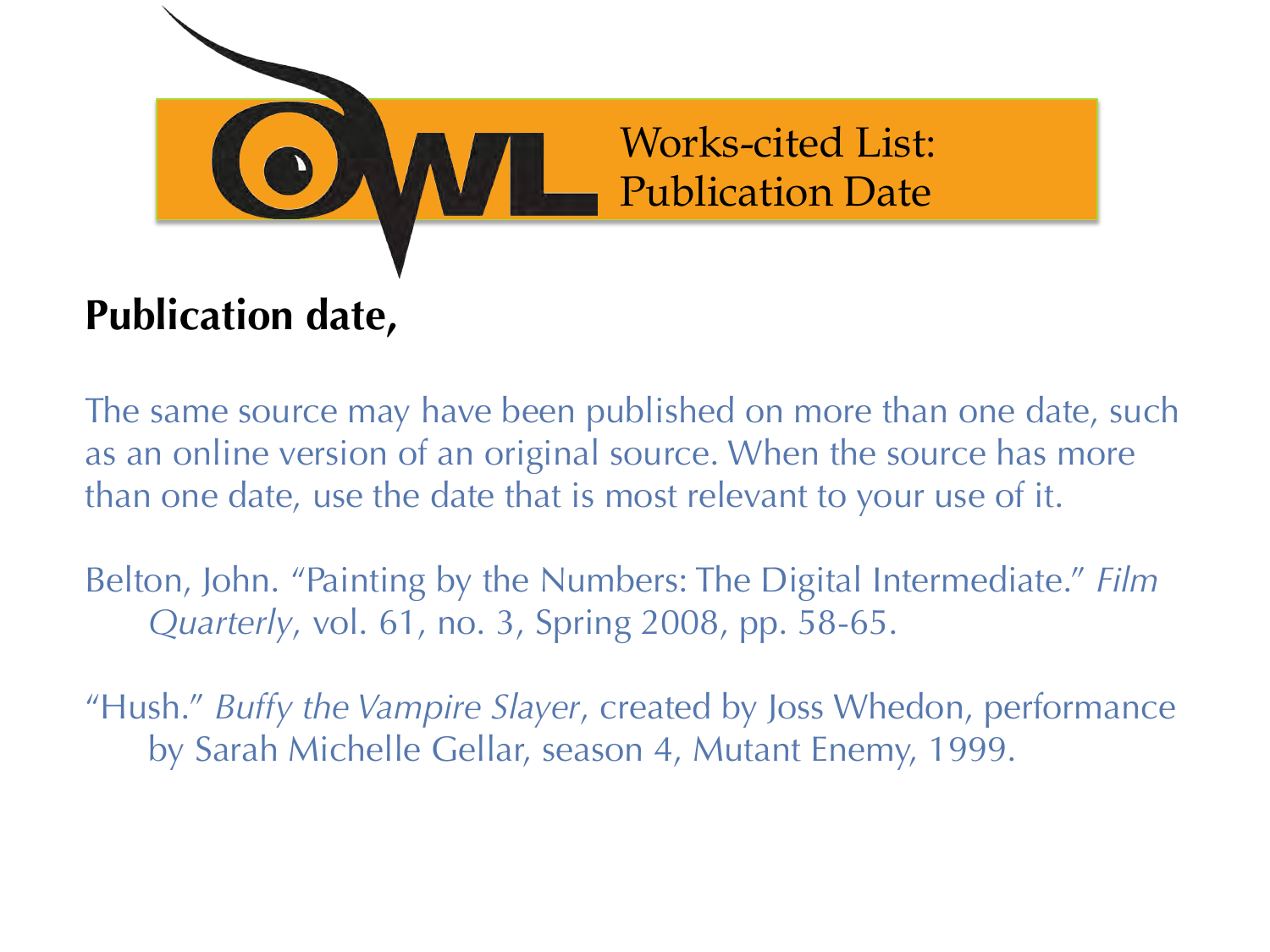

# **Publication date,**

The same source may have been published on more than one date, such as an online version of an original source. When the source has more than one date, use the date that is most relevant to your use of it.

Belton, John. "Painting by the Numbers: The Digital Intermediate." *Film Quarterly*, vol. 61, no. 3, Spring 2008, pp. 58-65.

"Hush." *Buffy the Vampire Slayer*, created by Joss Whedon, performance by Sarah Michelle Gellar, season 4, Mutant Enemy, 1999.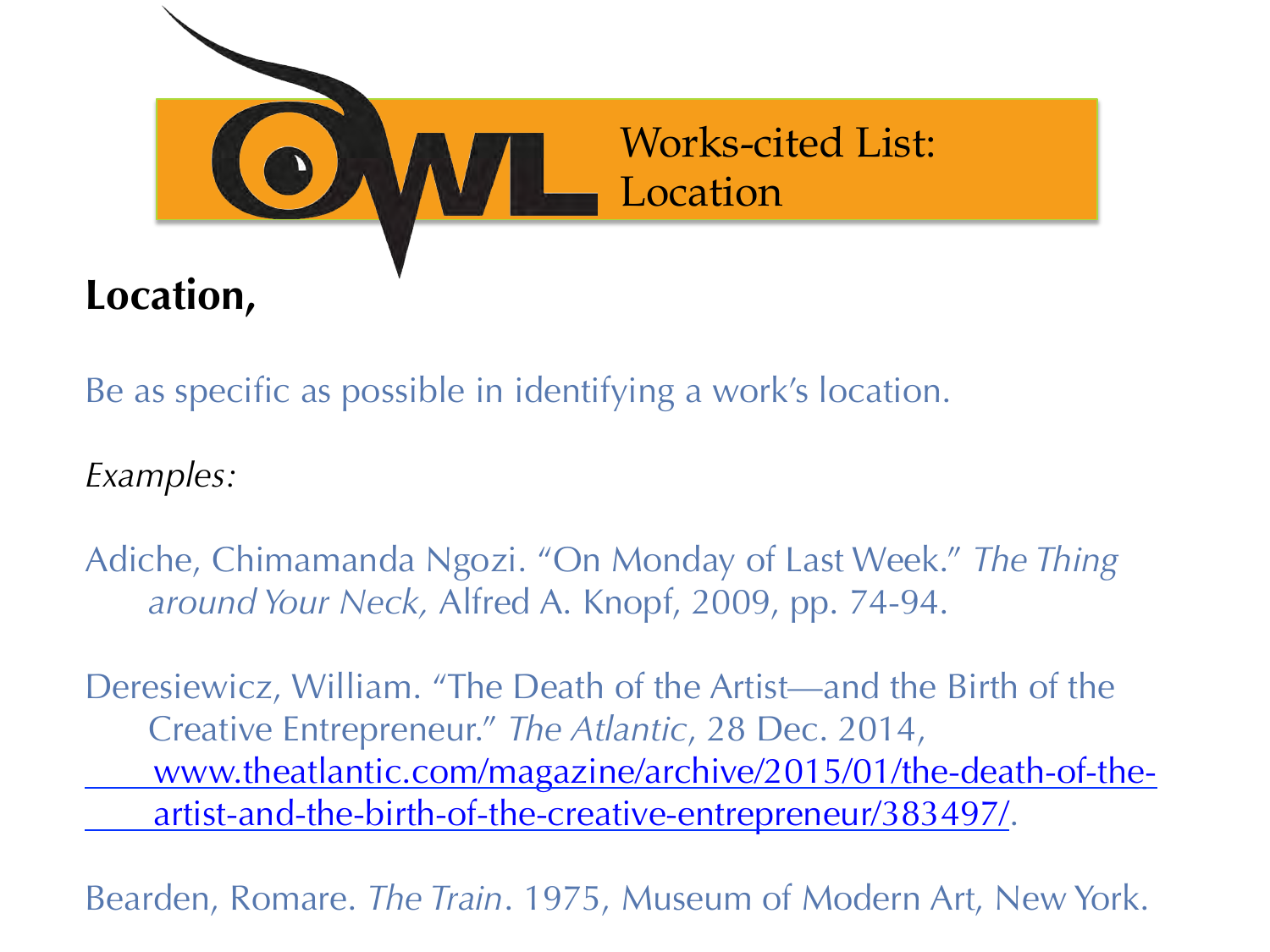

Be as specific as possible in identifying a work's location.

*Examples:* 

Adiche, Chimamanda Ngozi. "On Monday of Last Week." *The Thing around Your Neck,* Alfred A. Knopf, 2009, pp. 74-94.

Deresiewicz, William. "The Death of the Artist—and the Birth of the Creative Entrepreneur." *The Atlantic*, 28 Dec. 2014, www.theatlantic.com/magazine/archive/2015/01/the-death-of-the artist-and-the-birth-of-the-creative-entrepreneur/383497/.

Bearden, Romare. *The Train*. 1975, Museum of Modern Art, New York.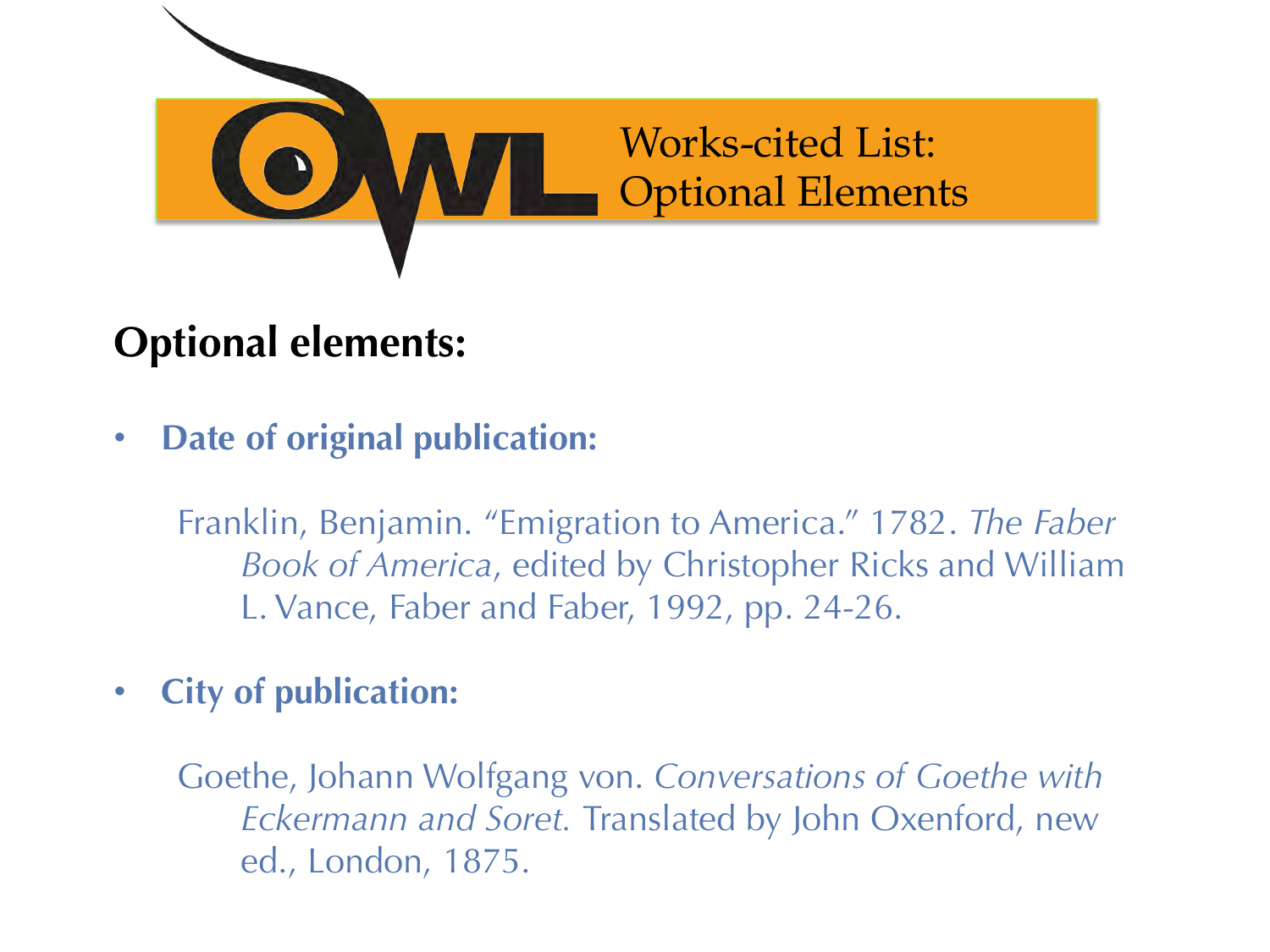

#### **Optional elements:**

• **Date of original publication:** 

Franklin, Benjamin. "Emigration to America." 1782. *The Faber Book of America*, edited by Christopher Ricks and William L. Vance, Faber and Faber, 1992, pp. 24-26.

• **City of publication:** 

Goethe, Johann Wolfgang von. *Conversations of Goethe with Eckermann and Soret.* Translated by John Oxenford, new ed., London, 1875.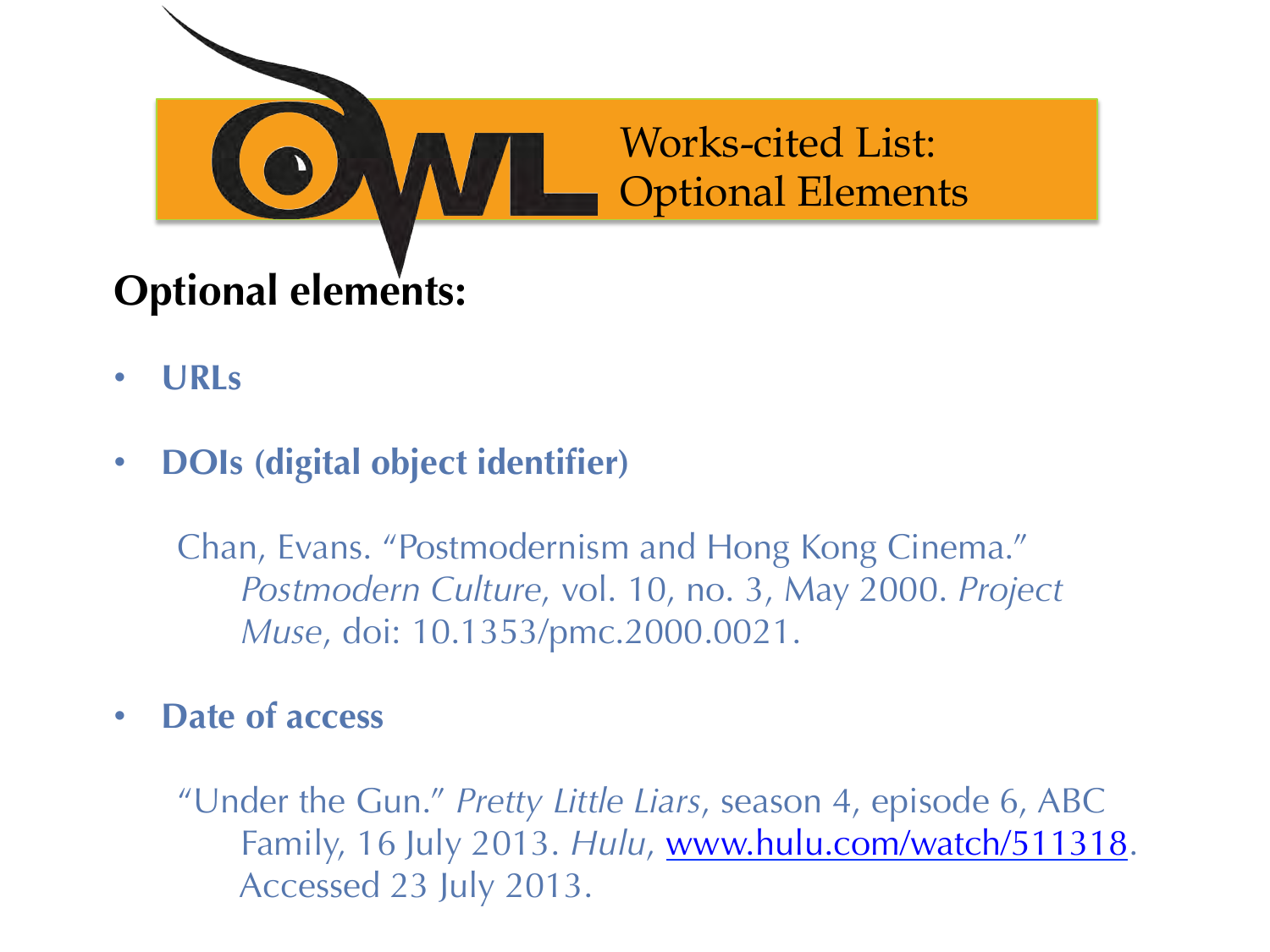

- **URLs**
- **DOIs (digital object identifier)**

Chan, Evans. "Postmodernism and Hong Kong Cinema." *Postmodern Culture*, vol. 10, no. 3, May 2000. *Project Muse*, doi: 10.1353/pmc.2000.0021.

• **Date of access** 

"Under the Gun." *Pretty Little Liars*, season 4, episode 6, ABC Family, 16 July 2013. *Hulu*, www.hulu.com/watch/511318. Accessed 23 July 2013.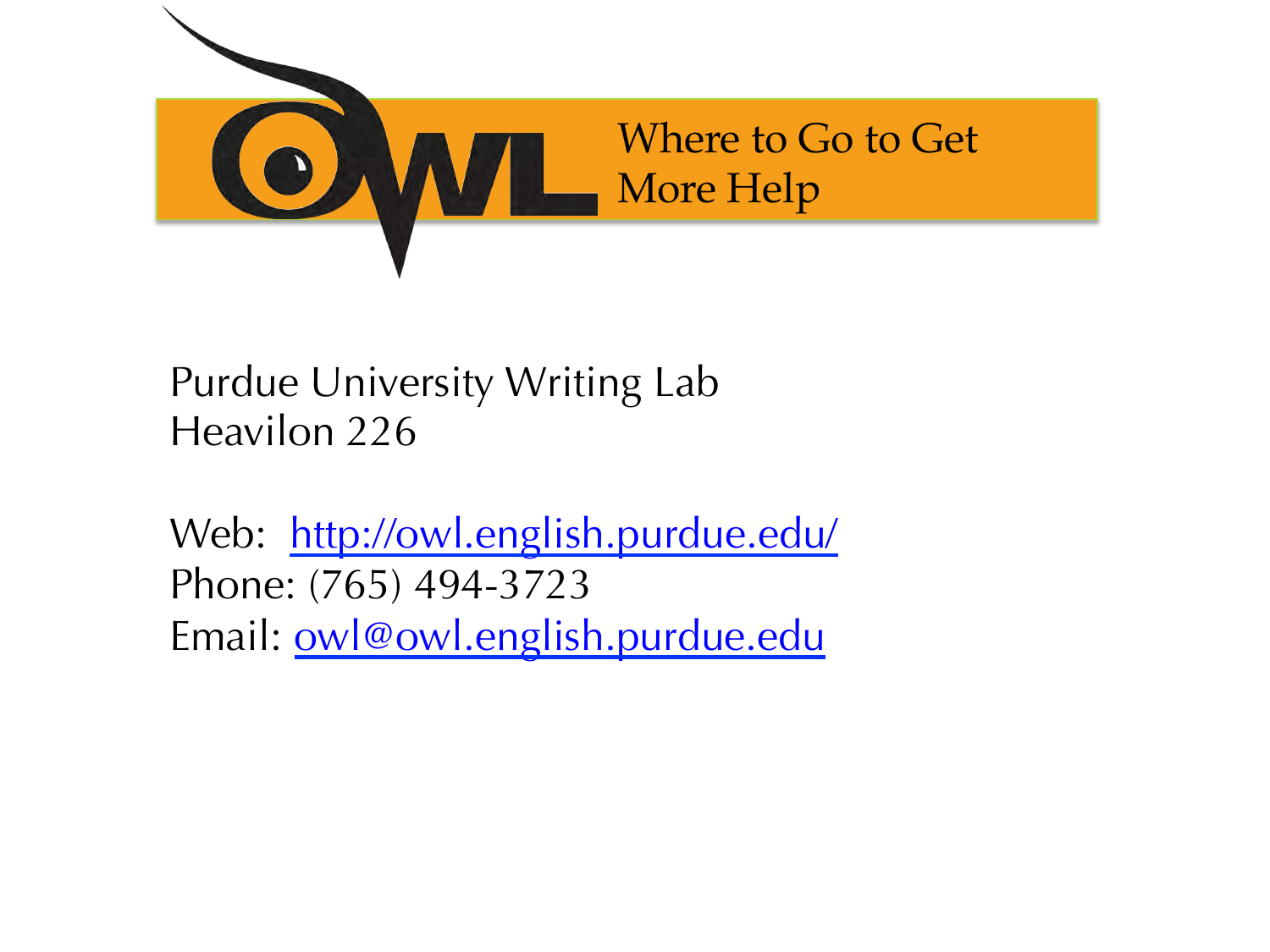

#### Purdue University Writing Lab Heavilon 226

Web: http://owl.english.purdue.edu/ Phone: (765) 494-3723 Email: owl@owl.english.purdue.edu